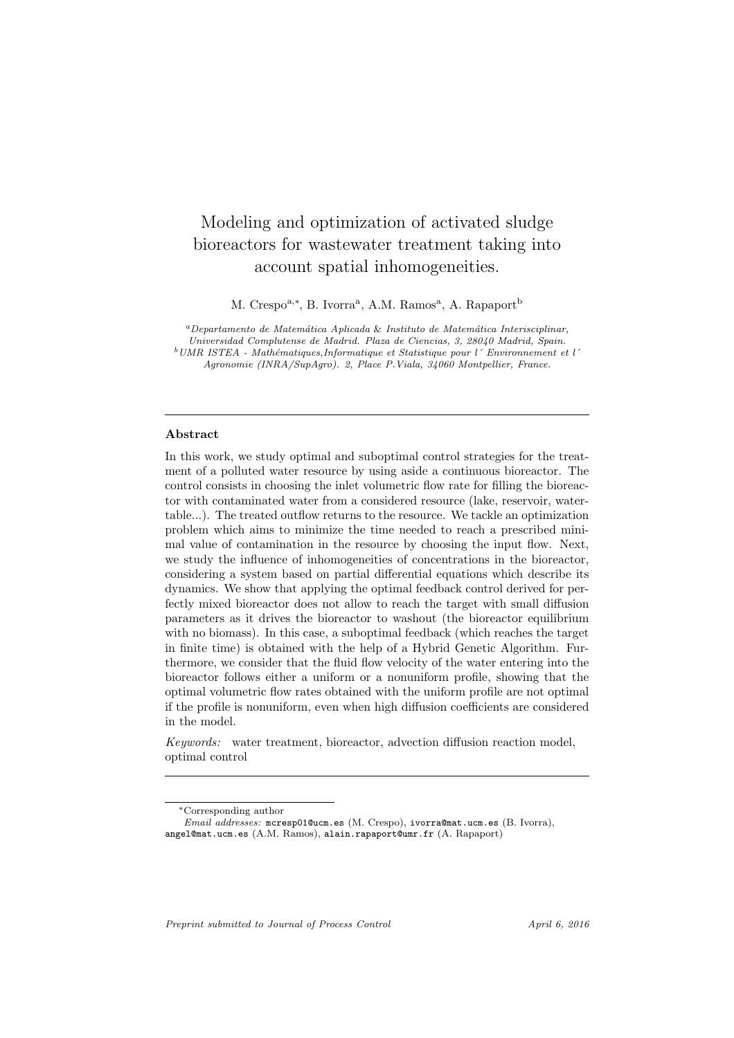# Modeling and optimization of activated sludge bioreactors for wastewater treatment taking into account spatial inhomogeneities.

M. Crespo<sup>a,\*</sup>, B. Ivorra<sup>a</sup>, A.M. Ramos<sup>a</sup>, A. Rapaport<sup>b</sup>

<sup>a</sup>*Departamento de Matem´atica Aplicada* & *Instituto de Matem´atica Interisciplinar, Universidad Complutense de Madrid. Plaza de Ciencias, 3, 28040 Madrid, Spain.* <sup>b</sup>*UMR ISTEA - Math´ematiques,Informatique et Statistique pour l´ Environnement et l´ Agronomie (INRA/SupAgro). 2, Place P.Viala, 34060 Montpellier, France.*

#### Abstract

In this work, we study optimal and suboptimal control strategies for the treatment of a polluted water resource by using aside a continuous bioreactor. The control consists in choosing the inlet volumetric flow rate for filling the bioreactor with contaminated water from a considered resource (lake, reservoir, watertable...). The treated outflow returns to the resource. We tackle an optimization problem which aims to minimize the time needed to reach a prescribed minimal value of contamination in the resource by choosing the input flow. Next, we study the influence of inhomogeneities of concentrations in the bioreactor, considering a system based on partial differential equations which describe its dynamics. We show that applying the optimal feedback control derived for perfectly mixed bioreactor does not allow to reach the target with small diffusion parameters as it drives the bioreactor to washout (the bioreactor equilibrium with no biomass). In this case, a suboptimal feedback (which reaches the target in finite time) is obtained with the help of a Hybrid Genetic Algorithm. Furthermore, we consider that the fluid flow velocity of the water entering into the bioreactor follows either a uniform or a nonuniform profile, showing that the optimal volumetric flow rates obtained with the uniform profile are not optimal if the profile is nonuniform, even when high diffusion coefficients are considered in the model.

Keywords: water treatment, bioreactor, advection diffusion reaction model, optimal control

*Preprint submitted to Journal of Process Control April 6, 2016* 

<sup>∗</sup>Corresponding author

*Email addresses:* mcresp01@ucm.es (M. Crespo), ivorra@mat.ucm.es (B. Ivorra), angel@mat.ucm.es (A.M. Ramos), alain.rapaport@umr.fr (A. Rapaport)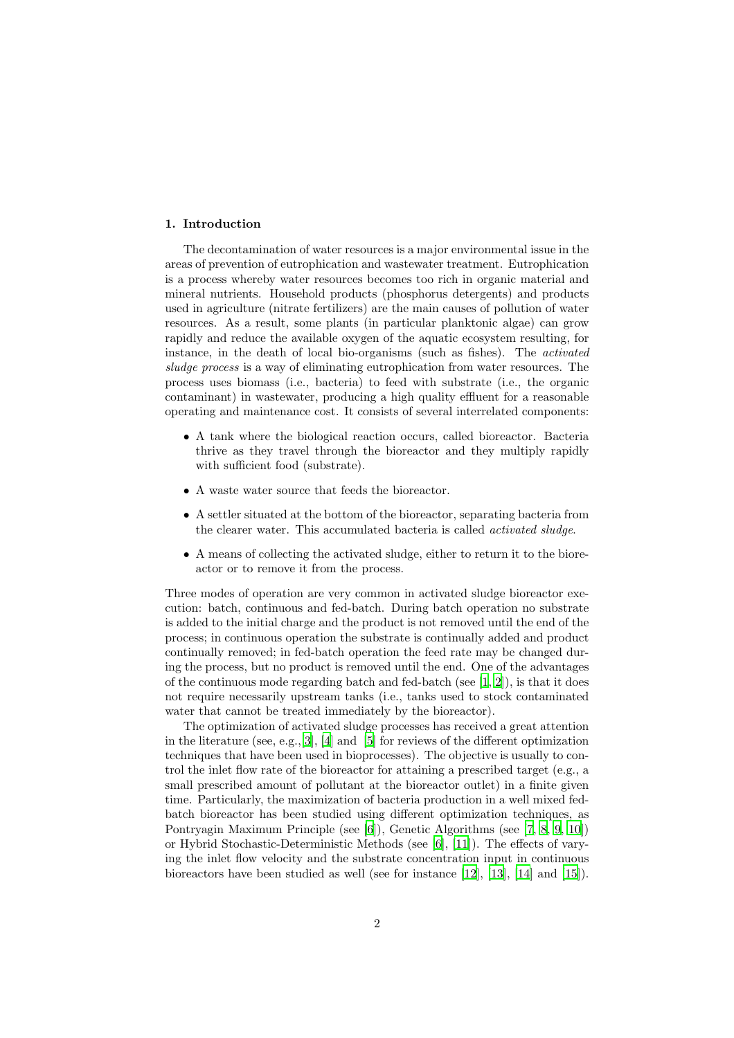#### 1. Introduction

The decontamination of water resources is a major environmental issue in the areas of prevention of eutrophication and wastewater treatment. Eutrophication is a process whereby water resources becomes too rich in organic material and mineral nutrients. Household products (phosphorus detergents) and products used in agriculture (nitrate fertilizers) are the main causes of pollution of water resources. As a result, some plants (in particular planktonic algae) can grow rapidly and reduce the available oxygen of the aquatic ecosystem resulting, for instance, in the death of local bio-organisms (such as fishes). The activated sludge process is a way of eliminating eutrophication from water resources. The process uses biomass (i.e., bacteria) to feed with substrate (i.e., the organic contaminant) in wastewater, producing a high quality effluent for a reasonable operating and maintenance cost. It consists of several interrelated components:

- A tank where the biological reaction occurs, called bioreactor. Bacteria thrive as they travel through the bioreactor and they multiply rapidly with sufficient food (substrate).
- A waste water source that feeds the bioreactor.
- A settler situated at the bottom of the bioreactor, separating bacteria from the clearer water. This accumulated bacteria is called activated sludge.
- A means of collecting the activated sludge, either to return it to the bioreactor or to remove it from the process.

Three modes of operation are very common in activated sludge bioreactor execution: batch, continuous and fed-batch. During batch operation no substrate is added to the initial charge and the product is not removed until the end of the process; in continuous operation the substrate is continually added and product continually removed; in fed-batch operation the feed rate may be changed during the process, but no product is removed until the end. One of the advantages of the continuous mode regarding batch and fed-batch (see  $[1, 2]$  $[1, 2]$  $[1, 2]$ ), is that it does not require necessarily upstream tanks (i.e., tanks used to stock contaminated water that cannot be treated immediately by the bioreactor).

The optimization of activated sludge processes has received a great attention in the literature (see, e.g.,[\[3\]](#page-25-2), [\[4\]](#page-25-3) and [\[5](#page-25-4)] for reviews of the different optimization techniques that have been used in bioprocesses). The objective is usually to control the inlet flow rate of the bioreactor for attaining a prescribed target (e.g., a small prescribed amount of pollutant at the bioreactor outlet) in a finite given time. Particularly, the maximization of bacteria production in a well mixed fedbatch bioreactor has been studied using different optimization techniques, as Pontryagin Maximum Principle (see [\[6\]](#page-25-5)), Genetic Algorithms (see [\[7](#page-25-6), [8](#page-25-7), [9,](#page-25-8) [10\]](#page-25-9)) or Hybrid Stochastic-Deterministic Methods (see [\[6\]](#page-25-5), [\[11\]](#page-26-0)). The effects of varying the inlet flow velocity and the substrate concentration input in continuous bioreactors have been studied as well (see for instance [\[12](#page-26-1)], [\[13\]](#page-26-2), [\[14\]](#page-26-3) and [\[15](#page-26-4)]).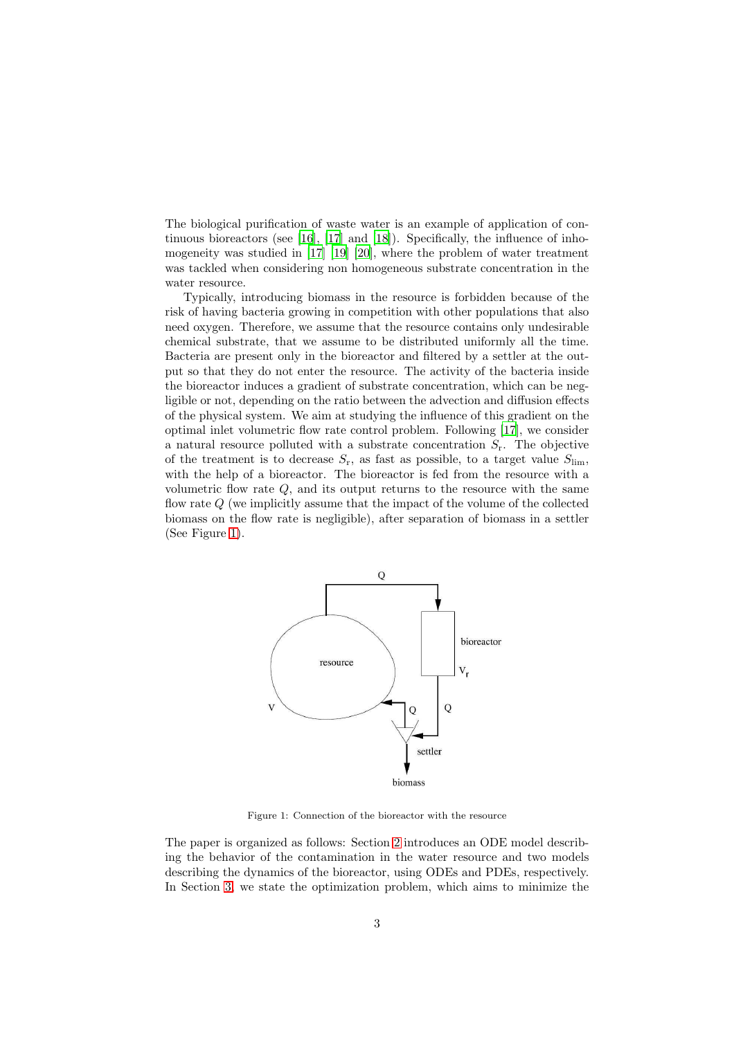The biological purification of waste water is an example of application of continuous bioreactors (see [\[16\]](#page-26-5), [\[17\]](#page-26-6) and [\[18\]](#page-26-7)). Specifically, the influence of inhomogeneity was studied in [\[17](#page-26-6)] [\[19\]](#page-26-8) [\[20\]](#page-26-9), where the problem of water treatment was tackled when considering non homogeneous substrate concentration in the water resource.

Typically, introducing biomass in the resource is forbidden because of the risk of having bacteria growing in competition with other populations that also need oxygen. Therefore, we assume that the resource contains only undesirable chemical substrate, that we assume to be distributed uniformly all the time. Bacteria are present only in the bioreactor and filtered by a settler at the output so that they do not enter the resource. The activity of the bacteria inside the bioreactor induces a gradient of substrate concentration, which can be negligible or not, depending on the ratio between the advection and diffusion effects of the physical system. We aim at studying the influence of this gradient on the optimal inlet volumetric flow rate control problem. Following [\[17](#page-26-6)], we consider a natural resource polluted with a substrate concentration  $S_r$ . The objective of the treatment is to decrease  $S_r$ , as fast as possible, to a target value  $S_{\text{lim}}$ , with the help of a bioreactor. The bioreactor is fed from the resource with a volumetric flow rate  $Q$ , and its output returns to the resource with the same flow rate Q (we implicitly assume that the impact of the volume of the collected biomass on the flow rate is negligible), after separation of biomass in a settler (See Figure [1\)](#page-2-0).



<span id="page-2-0"></span>Figure 1: Connection of the bioreactor with the resource

The paper is organized as follows: Section [2](#page-3-0) introduces an ODE model describing the behavior of the contamination in the water resource and two models describing the dynamics of the bioreactor, using ODEs and PDEs, respectively. In Section [3,](#page-9-0) we state the optimization problem, which aims to minimize the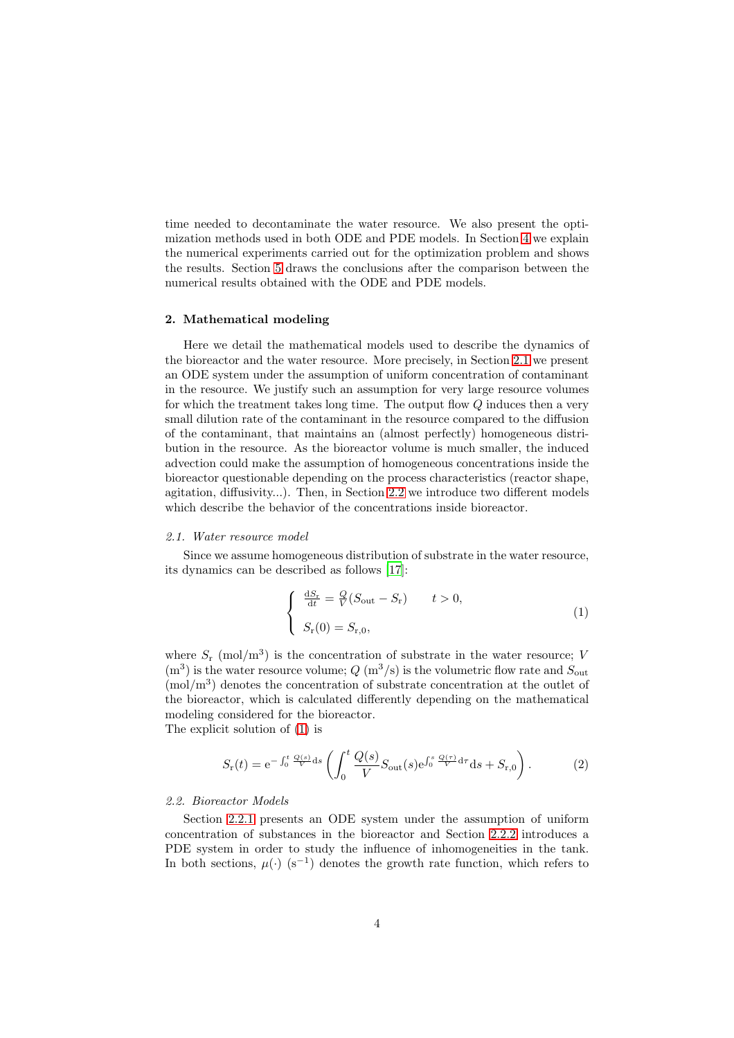time needed to decontaminate the water resource. We also present the optimization methods used in both ODE and PDE models. In Section [4](#page-15-0) we explain the numerical experiments carried out for the optimization problem and shows the results. Section [5](#page-23-0) draws the conclusions after the comparison between the numerical results obtained with the ODE and PDE models.

## <span id="page-3-0"></span>2. Mathematical modeling

Here we detail the mathematical models used to describe the dynamics of the bioreactor and the water resource. More precisely, in Section [2.1](#page-3-1) we present an ODE system under the assumption of uniform concentration of contaminant in the resource. We justify such an assumption for very large resource volumes for which the treatment takes long time. The output flow Q induces then a very small dilution rate of the contaminant in the resource compared to the diffusion of the contaminant, that maintains an (almost perfectly) homogeneous distribution in the resource. As the bioreactor volume is much smaller, the induced advection could make the assumption of homogeneous concentrations inside the bioreactor questionable depending on the process characteristics (reactor shape, agitation, diffusivity...). Then, in Section [2.2](#page-3-2) we introduce two different models which describe the behavior of the concentrations inside bioreactor.

## <span id="page-3-1"></span>2.1. Water resource model

Since we assume homogeneous distribution of substrate in the water resource, its dynamics can be described as follows [\[17](#page-26-6)]:

<span id="page-3-3"></span>
$$
\begin{cases}\n\frac{dS_r}{dt} = \frac{Q}{V}(S_{\text{out}} - S_r) & t > 0, \\
S_r(0) = S_{r,0},\n\end{cases}
$$
\n(1)

where  $S_{\rm r}$  (mol/m<sup>3</sup>) is the concentration of substrate in the water resource; V  $(m<sup>3</sup>)$  is the water resource volume;  $Q(m<sup>3</sup>/s)$  is the volumetric flow rate and  $S_{\text{out}}$  $\text{mol/m}^3$  denotes the concentration of substrate concentration at the outlet of the bioreactor, which is calculated differently depending on the mathematical modeling considered for the bioreactor. The explicit solution of [\(1\)](#page-3-3) is

<span id="page-3-4"></span>
$$
S_{\mathbf{r}}(t) = e^{-\int_0^t \frac{Q(s)}{V} ds} \left( \int_0^t \frac{Q(s)}{V} S_{\text{out}}(s) e^{\int_0^s \frac{Q(\tau)}{V} d\tau} ds + S_{\mathbf{r},0} \right). \tag{2}
$$

## <span id="page-3-2"></span>2.2. Bioreactor Models

Section [2.2.1](#page-4-0) presents an ODE system under the assumption of uniform concentration of substances in the bioreactor and Section [2.2.2](#page-5-0) introduces a PDE system in order to study the influence of inhomogeneities in the tank. In both sections,  $\mu(\cdot)$  (s<sup>-1</sup>) denotes the growth rate function, which refers to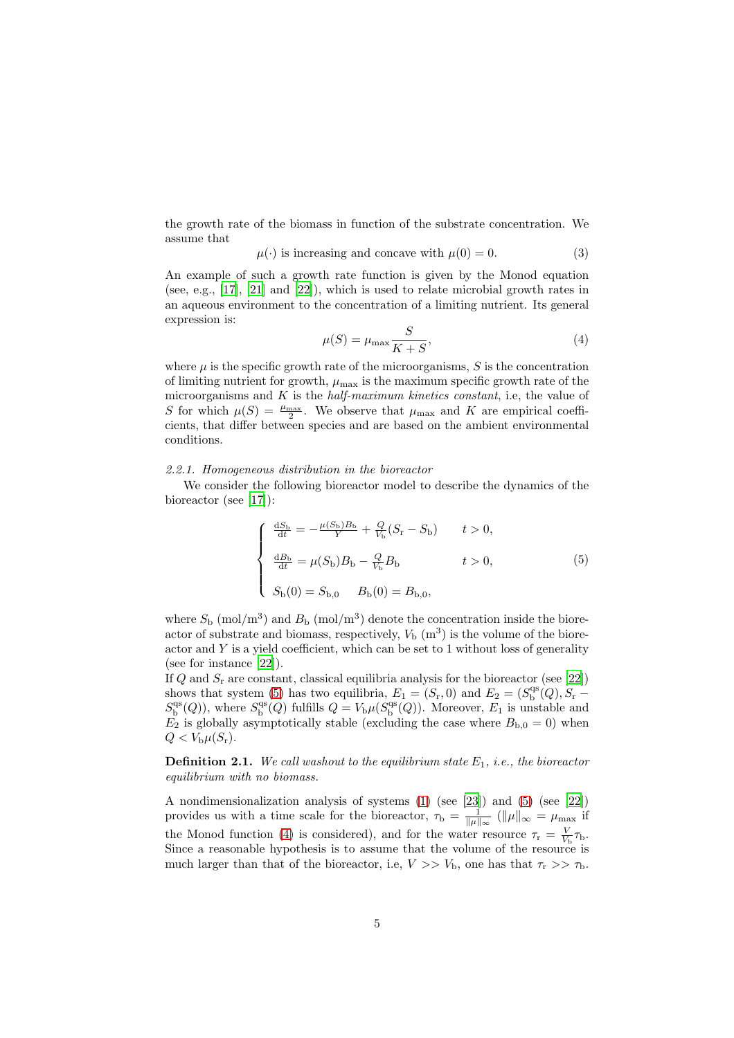the growth rate of the biomass in function of the substrate concentration. We assume that

<span id="page-4-4"></span>
$$
\mu(\cdot) \text{ is increasing and concave with } \mu(0) = 0. \tag{3}
$$

An example of such a growth rate function is given by the Monod equation (see, e.g., [\[17\]](#page-26-6), [\[21\]](#page-26-10) and [\[22](#page-26-11)]), which is used to relate microbial growth rates in an aqueous environment to the concentration of a limiting nutrient. Its general expression is:

<span id="page-4-2"></span>
$$
\mu(S) = \mu_{\text{max}} \frac{S}{K + S},\tag{4}
$$

where  $\mu$  is the specific growth rate of the microorganisms,  $S$  is the concentration of limiting nutrient for growth,  $\mu_{\text{max}}$  is the maximum specific growth rate of the microorganisms and  $K$  is the *half-maximum kinetics constant*, i.e, the value of S for which  $\mu(S) = \frac{\mu_{\max}}{2}$ . We observe that  $\mu_{\max}$  and K are empirical coefficients, that differ between species and are based on the ambient environmental conditions.

#### <span id="page-4-0"></span>2.2.1. Homogeneous distribution in the bioreactor

We consider the following bioreactor model to describe the dynamics of the bioreactor (see [\[17\]](#page-26-6)):

<span id="page-4-1"></span>
$$
\begin{cases}\n\frac{dS_{\rm b}}{dt} = -\frac{\mu(S_{\rm b})B_{\rm b}}{Y} + \frac{Q}{V_{\rm b}}(S_{\rm r} - S_{\rm b}) & t > 0, \\
\frac{dB_{\rm b}}{dt} = \mu(S_{\rm b})B_{\rm b} - \frac{Q}{V_{\rm b}}B_{\rm b} & t > 0, \\
S_{\rm b}(0) = S_{\rm b,0} & B_{\rm b}(0) = B_{\rm b,0},\n\end{cases}
$$
\n(5)

where  $S_{\rm b}$  (mol/m<sup>3</sup>) and  $B_{\rm b}$  (mol/m<sup>3</sup>) denote the concentration inside the bioreactor of substrate and biomass, respectively,  $V<sub>b</sub>$  (m<sup>3</sup>) is the volume of the bioreactor and  $Y$  is a yield coefficient, which can be set to 1 without loss of generality (see for instance [\[22\]](#page-26-11)).

If  $Q$  and  $S_r$  are constant, classical equilibria analysis for the bioreactor (see [\[22\]](#page-26-11)) shows that system [\(5\)](#page-4-1) has two equilibria,  $E_1 = (S_{\rm r}, 0)$  and  $E_2 = (S_{\rm b}^{\rm qs}(Q), S_{\rm r} S_{\rm b}^{\rm qs}(Q)$ ), where  $S_{\rm b}^{\rm qs}(Q)$  fulfills  $Q = V_{\rm b}\mu(S_{\rm b}^{\rm qs}(Q))$ . Moreover,  $E_1$  is unstable and  $E_2$  is globally asymptotically stable (excluding the case where  $B_{b,0} = 0$ ) when  $Q < V_{\rm b}\mu(S_{\rm r}).$ 

<span id="page-4-3"></span>**Definition 2.1.** We call washout to the equilibrium state  $E_1$ , i.e., the bioreactor equilibrium with no biomass.

A nondimensionalization analysis of systems [\(1\)](#page-3-3) (see [\[23\]](#page-26-12)) and [\(5\)](#page-4-1) (see [\[22\]](#page-26-11)) provides us with a time scale for the bioreactor,  $\tau_{\rm b} = \frac{1}{\|\mu\|_{\infty}} (\|\mu\|_{\infty} = \mu_{\max}$  if the Monod function [\(4\)](#page-4-2) is considered), and for the water resource  $\tau_r = \frac{V}{V_b} \tau_b$ . Since a reasonable hypothesis is to assume that the volume of the resource is much larger than that of the bioreactor, i.e,  $V >> V_{\rm b}$ , one has that  $\tau_{\rm r} >> \tau_{\rm b}$ .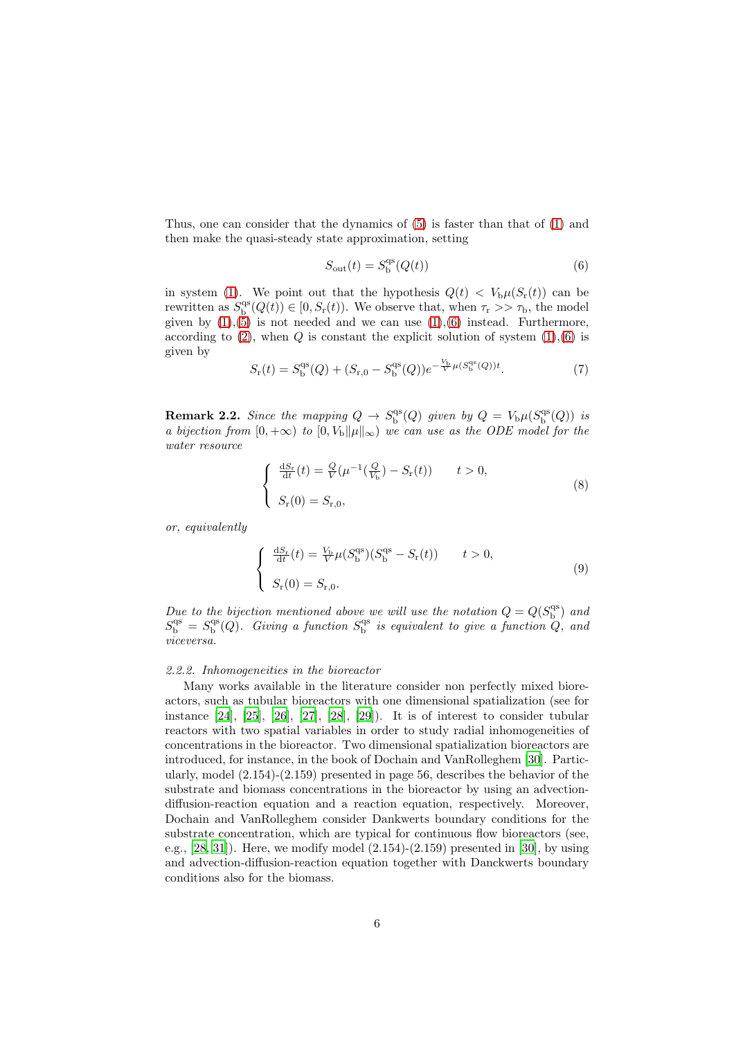Thus, one can consider that the dynamics of [\(5\)](#page-4-1) is faster than that of [\(1\)](#page-3-3) and then make the quasi-steady state approximation, setting

<span id="page-5-1"></span>
$$
S_{\rm out}(t) = S_{\rm b}^{\rm qs}(Q(t))\tag{6}
$$

in system [\(1\)](#page-3-3). We point out that the hypothesis  $Q(t) < V<sub>b</sub> \mu(S<sub>r</sub>(t))$  can be rewritten as  $S_{\text{b}}^{\text{qs}}(Q(t)) \in [0, S_{\text{r}}(t))$ . We observe that, when  $\tau_{\text{r}} >> \tau_{\text{b}}$ , the model given by  $(1),(\bar{5})$  is not needed and we can use  $(1),(6)$  $(1),(6)$  instead. Furthermore, according to  $(2)$ , when  $Q$  is constant the explicit solution of system  $(1),(6)$  $(1),(6)$  is given by

$$
S_{\rm r}(t) = S_{\rm b}^{\rm qs}(Q) + (S_{\rm r,0} - S_{\rm b}^{\rm qs}(Q))e^{-\frac{V_{\rm b}}{V}\mu(S_{\rm b}^{\rm qs}(Q))t}.\tag{7}
$$

<span id="page-5-3"></span>**Remark 2.2.** Since the mapping  $Q \to S_b^{\text{qs}}(Q)$  given by  $Q = V_b \mu(S_b^{\text{qs}}(Q))$  is a bijection from  $[0, +\infty)$  to  $[0, V_b ||\mu||_{\infty})$  we can use as the ODE model for the water resource

<span id="page-5-2"></span>
$$
\begin{cases}\n\frac{dS_r}{dt}(t) = \frac{Q}{V}(\mu^{-1}(\frac{Q}{V_b}) - S_r(t)) & t > 0, \\
S_r(0) = S_{r,0},\n\end{cases}
$$
\n(8)

or, equivalently

<span id="page-5-4"></span>
$$
\begin{cases} \frac{dS_r}{dt}(t) = \frac{V_b}{V} \mu(S_b^{\text{qs}})(S_b^{\text{qs}} - S_r(t)) & t > 0, \\ S_r(0) = S_{r,0}. \end{cases}
$$
(9)

Due to the bijection mentioned above we will use the notation  $Q = Q(S_{\text{b}}^{\text{qs}})$  and  $S_{\rm b}^{\rm qs} = S_{\rm b}^{\rm qs}(Q)$ . Giving a function  $S_{\rm b}^{\rm qs}$  is equivalent to give a function  $Q$ , and viceversa.

#### <span id="page-5-0"></span>2.2.2. Inhomogeneities in the bioreactor

Many works available in the literature consider non perfectly mixed bioreactors, such as tubular bioreactors with one dimensional spatialization (see for instance  $[24]$ ,  $[25]$ ,  $[26]$ ,  $[27]$ ,  $[28]$ ,  $[29]$ ). It is of interest to consider tubular reactors with two spatial variables in order to study radial inhomogeneities of concentrations in the bioreactor. Two dimensional spatialization bioreactors are introduced, for instance, in the book of Dochain and VanRolleghem [\[30\]](#page-27-5). Particularly, model (2.154)-(2.159) presented in page 56, describes the behavior of the substrate and biomass concentrations in the bioreactor by using an advectiondiffusion-reaction equation and a reaction equation, respectively. Moreover, Dochain and VanRolleghem consider Dankwerts boundary conditions for the substrate concentration, which are typical for continuous flow bioreactors (see, e.g.,  $[28, 31]$  $[28, 31]$ . Here, we modify model  $(2.154)-(2.159)$  presented in [\[30](#page-27-5)], by using and advection-diffusion-reaction equation together with Danckwerts boundary conditions also for the biomass.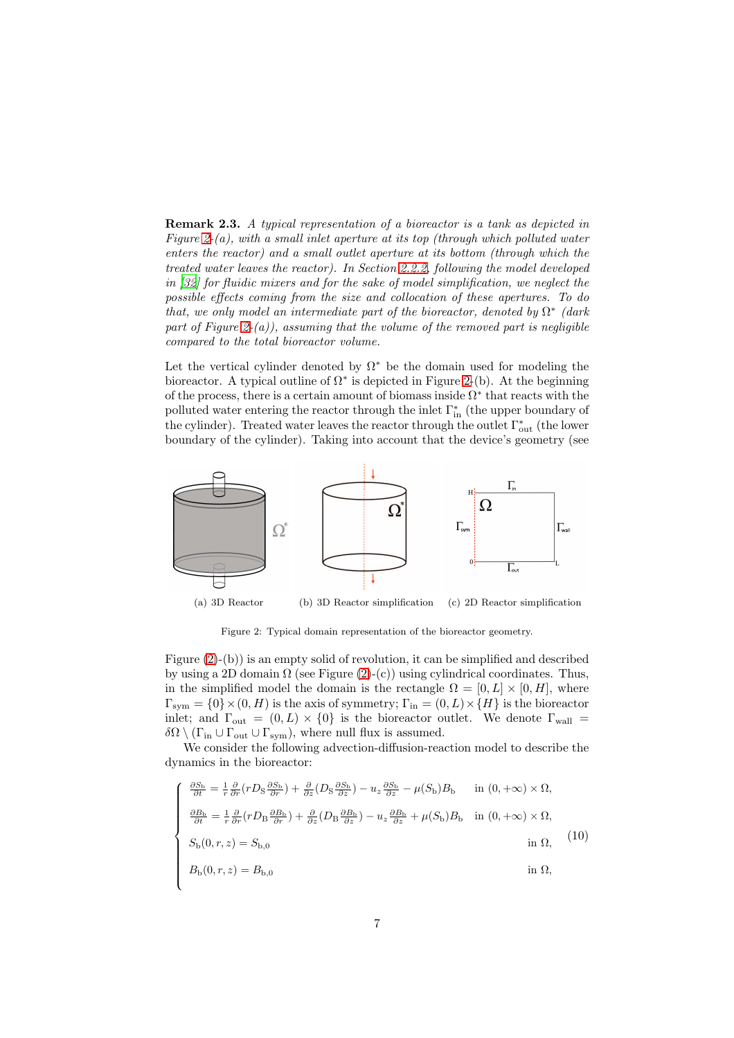Remark 2.3. A typical representation of a bioreactor is a tank as depicted in Figure [2-](#page-6-0)(a), with a small inlet aperture at its top (through which polluted water enters the reactor) and a small outlet aperture at its bottom (through which the treated water leaves the reactor). In Section [2.2.2,](#page-5-0) following the model developed in [\[32\]](#page-27-7) for fluidic mixers and for the sake of model simplification, we neglect the possible effects coming from the size and collocation of these apertures. To do that, we only model an intermediate part of the bioreactor, denoted by  $\Omega^*$  (dark part of Figure [2-](#page-6-0)(a)), assuming that the volume of the removed part is negligible compared to the total bioreactor volume.

Let the vertical cylinder denoted by  $\Omega^*$  be the domain used for modeling the bioreactor. A typical outline of  $\Omega^*$  is depicted in Figure [2-](#page-6-0)(b). At the beginning of the process, there is a certain amount of biomass inside  $\Omega^*$  that reacts with the polluted water entering the reactor through the inlet Γ<sup>∗</sup> in (the upper boundary of the cylinder). Treated water leaves the reactor through the outlet  $\Gamma_{\text{out}}^*$  (the lower boundary of the cylinder). Taking into account that the device's geometry (see



(a) 3D Reactor (b) 3D Reactor simplification (c) 2D Reactor simplification

<span id="page-6-0"></span>Figure 2: Typical domain representation of the bioreactor geometry.

Figure [\(2\)](#page-6-0)-(b)) is an empty solid of revolution, it can be simplified and described by using a 2D domain  $\Omega$  (see Figure [\(2\)](#page-6-0)-(c)) using cylindrical coordinates. Thus, in the simplified model the domain is the rectangle  $\Omega = [0, L] \times [0, H]$ , where  $\Gamma_{sym} = \{0\} \times (0, H)$  is the axis of symmetry;  $\Gamma_{\text{in}} = (0, L) \times \{H\}$  is the bioreactor inlet; and  $\Gamma_{\text{out}} = (0, L) \times \{0\}$  is the bioreactor outlet. We denote  $\Gamma_{\text{wall}} =$  $\delta\Omega \setminus (\Gamma_{\text{in}} \cup \Gamma_{\text{out}} \cup \Gamma_{\text{sym}}),$  where null flux is assumed.

We consider the following advection-diffusion-reaction model to describe the dynamics in the bioreactor:

<span id="page-6-1"></span>
$$
\begin{cases}\n\frac{\partial S_{\rm b}}{\partial t} = \frac{1}{r} \frac{\partial}{\partial r} (r D_{\rm S} \frac{\partial S_{\rm b}}{\partial r}) + \frac{\partial}{\partial z} (D_{\rm S} \frac{\partial S_{\rm b}}{\partial z}) - u_z \frac{\partial S_{\rm b}}{\partial z} - \mu(S_{\rm b}) B_{\rm b} & \text{in } (0, +\infty) \times \Omega, \\
\frac{\partial B_{\rm b}}{\partial t} = \frac{1}{r} \frac{\partial}{\partial r} (r D_{\rm B} \frac{\partial B_{\rm b}}{\partial r}) + \frac{\partial}{\partial z} (D_{\rm B} \frac{\partial B_{\rm b}}{\partial z}) - u_z \frac{\partial B_{\rm b}}{\partial z} + \mu(S_{\rm b}) B_{\rm b} & \text{in } (0, +\infty) \times \Omega, \\
S_{\rm b}(0, r, z) = S_{\rm b,0} & \text{in } \Omega, \\
B_{\rm b}(0, r, z) = B_{\rm b,0} & \text{in } \Omega,\n\end{cases}
$$
\n(10)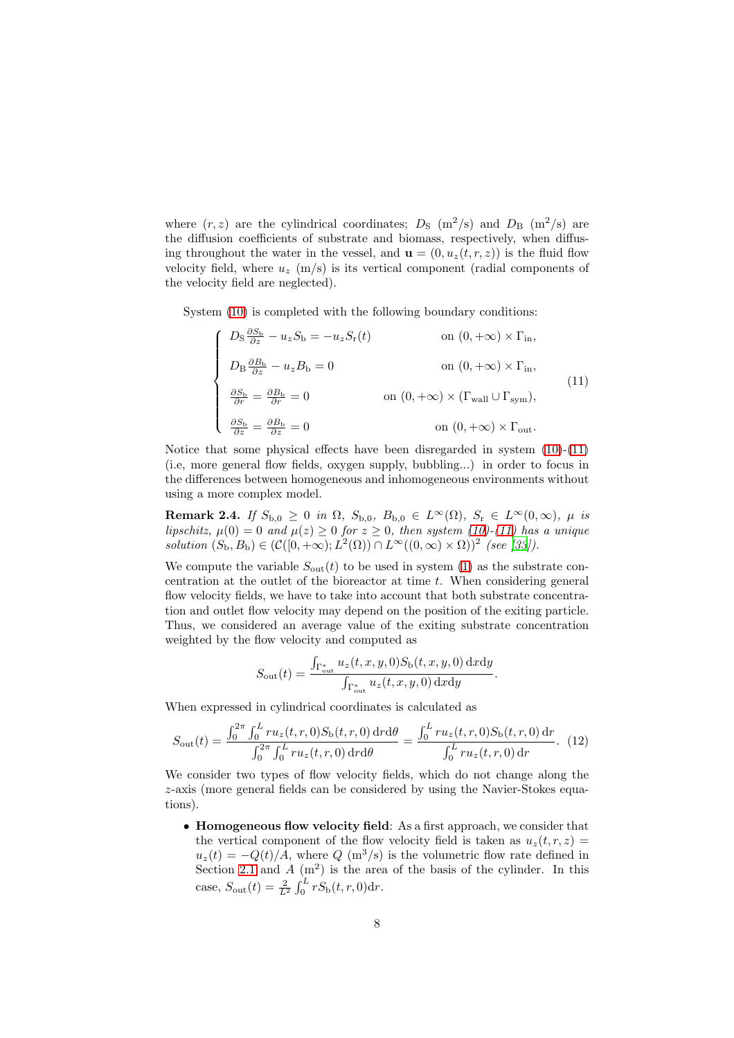where  $(r, z)$  are the cylindrical coordinates;  $D<sub>S</sub>$  (m<sup>2</sup>/s) and  $D<sub>B</sub>$  (m<sup>2</sup>/s) are the diffusion coefficients of substrate and biomass, respectively, when diffusing throughout the water in the vessel, and  $\mathbf{u} = (0, u_x(t, r, z))$  is the fluid flow velocity field, where  $u_z$  (m/s) is its vertical component (radial components of the velocity field are neglected).

System [\(10\)](#page-6-1) is completed with the following boundary conditions:

<span id="page-7-0"></span>
$$
\begin{cases}\nD_{\rm S} \frac{\partial S_{\rm b}}{\partial z} - u_z S_{\rm b} = -u_z S_{\rm r}(t) & \text{on } (0, +\infty) \times \Gamma_{\rm in}, \\
D_{\rm B} \frac{\partial B_{\rm b}}{\partial z} - u_z B_{\rm b} = 0 & \text{on } (0, +\infty) \times \Gamma_{\rm in}, \\
\frac{\partial S_{\rm b}}{\partial r} = \frac{\partial B_{\rm b}}{\partial r} = 0 & \text{on } (0, +\infty) \times (\Gamma_{\rm wall} \cup \Gamma_{\rm sym}), \\
\frac{\partial S_{\rm b}}{\partial z} = \frac{\partial B_{\rm b}}{\partial z} = 0 & \text{on } (0, +\infty) \times \Gamma_{\rm out}.\n\end{cases}
$$
\n(11)

Notice that some physical effects have been disregarded in system  $(10)-(11)$  $(10)-(11)$ (i.e, more general flow fields, oxygen supply, bubbling...) in order to focus in the differences between homogeneous and inhomogeneous environments without using a more complex model.

Remark 2.4. If  $S_{b,0} \ge 0$  in  $\Omega$ ,  $S_{b,0}$ ,  $B_{b,0} \in L^{\infty}(\Omega)$ ,  $S_r \in L^{\infty}(0,\infty)$ ,  $\mu$  is lipschitz,  $\mu(0) = 0$  and  $\mu(z) \ge 0$  for  $z \ge 0$ , then system [\(10\)](#page-6-1)-[\(11\)](#page-7-0) has a unique solution  $(S_{\mathbf{b}}, B_{\mathbf{b}}) \in (\mathcal{C}([0, +\infty); L^2(\Omega)) \cap L^{\infty}((0, \infty) \times \Omega))^2$  (see [\[33](#page-27-8)]).

We compute the variable  $S_{\text{out}}(t)$  to be used in system [\(1\)](#page-3-3) as the substrate concentration at the outlet of the bioreactor at time t. When considering general flow velocity fields, we have to take into account that both substrate concentration and outlet flow velocity may depend on the position of the exiting particle. Thus, we considered an average value of the exiting substrate concentration weighted by the flow velocity and computed as

$$
S_{\text{out}}(t) = \frac{\int_{\Gamma_{\text{out}}^*} u_z(t, x, y, 0) S_{\text{b}}(t, x, y, 0) \, \text{d}x \, \text{d}y}{\int_{\Gamma_{\text{out}}^*} u_z(t, x, y, 0) \, \text{d}x \, \text{d}y}
$$

.

When expressed in cylindrical coordinates is calculated as

<span id="page-7-1"></span>
$$
S_{\text{out}}(t) = \frac{\int_0^{2\pi} \int_0^L r u_z(t, r, 0) S_{\text{b}}(t, r, 0) \, dr d\theta}{\int_0^{2\pi} \int_0^L r u_z(t, r, 0) \, dr d\theta} = \frac{\int_0^L r u_z(t, r, 0) S_{\text{b}}(t, r, 0) \, dr}{\int_0^L r u_z(t, r, 0) \, dr}.
$$
 (12)

We consider two types of flow velocity fields, which do not change along the z-axis (more general fields can be considered by using the Navier-Stokes equations).

• Homogeneous flow velocity field: As a first approach, we consider that the vertical component of the flow velocity field is taken as  $u_z(t, r, z) =$  $u_z(t) = -Q(t)/A$ , where  $Q(m^3/s)$  is the volumetric flow rate defined in Section [2.1](#page-3-1) and  $A(m^2)$  is the area of the basis of the cylinder. In this case,  $S_{\text{out}}(t) = \frac{2}{L^2} \int_0^L r S_{\text{b}}(t, r, 0) dr$ .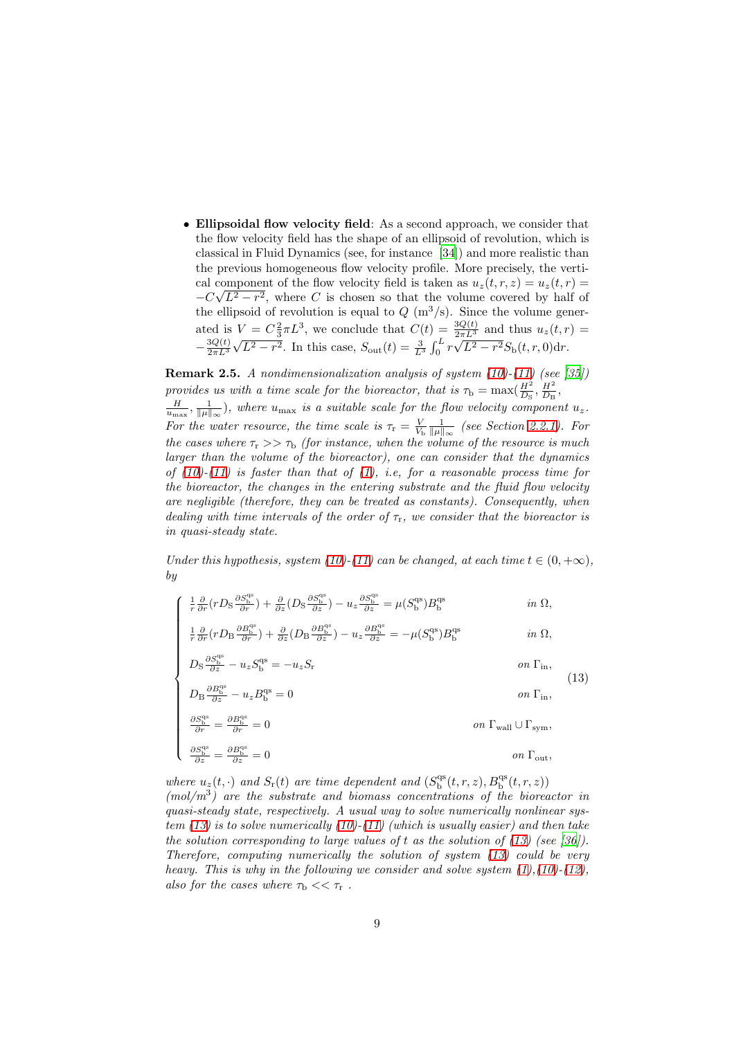• Ellipsoidal flow velocity field: As a second approach, we consider that the flow velocity field has the shape of an ellipsoid of revolution, which is classical in Fluid Dynamics (see, for instance [\[34\]](#page-27-9)) and more realistic than the previous homogeneous flow velocity profile. More precisely, the vertical component of the flow velocity field is taken as  $u_z(t, r, z) = u_z(t, r)$  $-C\sqrt{L^2-r^2}$ , where C is chosen so that the volume covered by half of the ellipsoid of revolution is equal to  $Q(m^3/s)$ . Since the volume generated is  $V = C_{\frac{2}{3}} \pi L^3$ , we conclude that  $C(t) = \frac{3Q(t)}{2\pi L^3}$  and thus  $u_z(t,r) =$  $-\frac{3Q(t)}{2\pi L^3}\sqrt{L^2-r^2}$ . In this case,  $S_{\text{out}}(t) = \frac{3}{L^3}\int_0^L r\sqrt{L^2-r^2}S_{\text{b}}(t,r,0)dr$ .

<span id="page-8-1"></span>**Remark 2.5.** A nondimensionalization analysis of system  $(10)-(11)$  $(10)-(11)$  (see [\[35](#page-27-10)]) provides us with a time scale for the bioreactor, that is  $\tau_{\rm b} = \max(\frac{H^2}{D_{\rm s}}, \frac{H^2}{D_{\rm B}},$ 

 $\frac{H}{u_{\text{max}}}, \frac{1}{\|\mu\|_{\infty}}$ , where  $u_{\text{max}}$  is a suitable scale for the flow velocity component  $u_z$ . For the water resource, the time scale is  $\tau_r = \frac{V}{V_b} \frac{1}{\|\mu\|_{\infty}}$  (see Section [2.2.1\)](#page-4-0). For the cases where  $\tau_r >> \tau_b$  (for instance, when the volume of the resource is much larger than the volume of the bioreactor), one can consider that the dynamics of  $(10)-(11)$  $(10)-(11)$  is faster than that of  $(1)$ , i.e, for a reasonable process time for the bioreactor, the changes in the entering substrate and the fluid flow velocity are negligible (therefore, they can be treated as constants). Consequently, when dealing with time intervals of the order of  $\tau_r$ , we consider that the bioreactor is in quasi-steady state.

Under this hypothesis, system [\(10\)](#page-6-1)-[\(11\)](#page-7-0) can be changed, at each time  $t \in (0, +\infty)$ , by

∂Sqs

<span id="page-8-0"></span>
$$
\begin{cases}\n\frac{1}{r}\frac{\partial}{\partial r}(rD_{\rm S}\frac{\partial S_{\rm b}^{\rm qs}}{\partial r}) + \frac{\partial}{\partial z}(D_{\rm S}\frac{\partial S_{\rm b}^{\rm qs}}{\partial z}) - u_{z}\frac{\partial S_{\rm b}^{\rm qs}}{\partial z} = \mu(S_{\rm b}^{\rm qs})B_{\rm b}^{\rm qs} & \text{in } \Omega, \\
\frac{1}{r}\frac{\partial}{\partial r}(rD_{\rm B}\frac{\partial B_{\rm b}^{\rm qs}}{\partial r}) + \frac{\partial}{\partial z}(D_{\rm B}\frac{\partial B_{\rm b}^{\rm qs}}{\partial z}) - u_{z}\frac{\partial B_{\rm b}^{\rm qs}}{\partial z} = -\mu(S_{\rm b}^{\rm qs})B_{\rm b}^{\rm qs} & \text{in } \Omega, \\
D_{\rm S}\frac{\partial S_{\rm b}^{\rm qs}}{\partial z} - u_{z}S_{\rm b}^{\rm qs} = -u_{z}S_{\rm r} & \text{on } \Gamma_{\rm in}, \\
D_{\rm B}\frac{\partial B_{\rm b}^{\rm qs}}{\partial z} - u_{z}B_{\rm b}^{\rm qs} = 0 & \text{on } \Gamma_{\rm in}, \\
\frac{\partial S_{\rm b}^{\rm qs}}{\partial r} = \frac{\partial B_{\rm b}^{\rm qs}}{\partial r} = 0 & \text{on } \Gamma_{\rm wall} \cup \Gamma_{\rm sym}, \\
\frac{\partial S_{\rm b}^{\rm qs}}{\partial z} = \frac{\partial B_{\rm b}^{\rm qs}}{\partial z} = 0 & \text{on } \Gamma_{\rm out},\n\end{cases}
$$
\n(13)

where  $u_z(t, \cdot)$  and  $S_r(t)$  are time dependent and  $(S_{\text{b}}^{\text{qs}}(t, r, z), B_{\text{b}}^{\text{qs}}(t, r, z))$  $(mol/m<sup>3</sup>)$  are the substrate and biomass concentrations of the bioreactor in quasi-steady state, respectively. A usual way to solve numerically nonlinear system  $(13)$  is to solve numerically  $(10)-(11)$  $(10)-(11)$  (which is usually easier) and then take the solution corresponding to large values of t as the solution of  $(13)$  (see [\[36](#page-27-11)]). Therefore, computing numerically the solution of system [\(13\)](#page-8-0) could be very heavy. This is why in the following we consider and solve system  $(1)$ , $(10)$ - $(12)$ , also for the cases where  $\tau_{\rm b} << \tau_{\rm r}$ .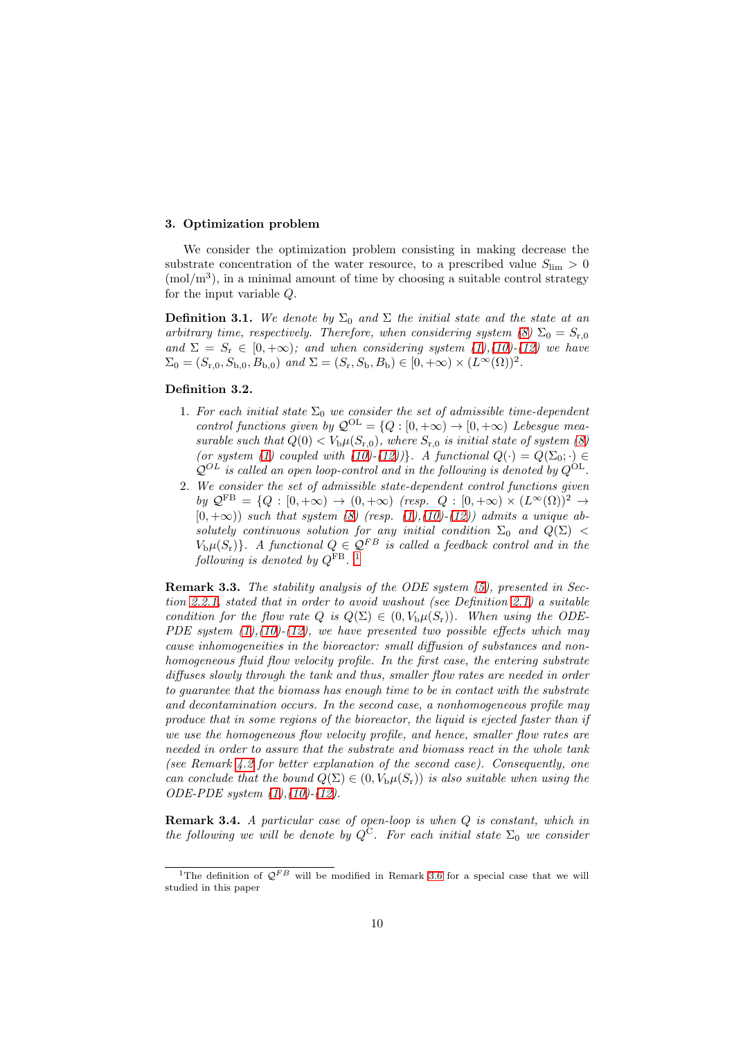## <span id="page-9-0"></span>3. Optimization problem

We consider the optimization problem consisting in making decrease the substrate concentration of the water resource, to a prescribed value  $S_{\text{lim}} > 0$  $(mol/m<sup>3</sup>)$ , in a minimal amount of time by choosing a suitable control strategy for the input variable Q.

**Definition 3.1.** We denote by  $\Sigma_0$  and  $\Sigma$  the initial state and the state at an arbitrary time, respectively. Therefore, when considering system [\(8\)](#page-5-2)  $\Sigma_0 = S_{r,0}$ and  $\Sigma = S_r \in [0, +\infty)$ ; and when considering system [\(1\)](#page-3-3),[\(10\)](#page-6-1)-[\(12\)](#page-7-1) we have  $\Sigma_0 = (S_{\rm r,0}, S_{\rm b,0}, B_{\rm b,0})$  and  $\Sigma = (S_{\rm r}, S_{\rm b}, B_{\rm b}) \in [0, +\infty) \times (L^{\infty}(\Omega))^2$ .

## Definition 3.2.

- 1. For each initial state  $\Sigma_0$  we consider the set of admissible time-dependent control functions given by  $\mathcal{Q}^{OL} = \{Q : [0, +\infty) \to [0, +\infty) \text{ Lebesgue mea-} \}$ surable such that  $Q(0) < V_b \mu(S_{r,0})$ , where  $S_{r,0}$  is initial state of system [\(8\)](#page-5-2) (or system [\(1\)](#page-3-3) coupled with [\(10\)](#page-6-1)-[\(12\)](#page-7-1))}. A functional  $Q(\cdot) = Q(\Sigma_0; \cdot) \in$  $\mathcal{Q}^{OL}$  is called an open loop-control and in the following is denoted by  $Q^{OL}$ .
- 2. We consider the set of admissible state-dependent control functions given by  $\mathcal{Q}^{FB} = \{Q : [0, +\infty) \to (0, +\infty) \text{ (resp. } Q : [0, +\infty) \times (L^{\infty}(\Omega))^2 \to \emptyset \text{ (resp. } Q \text{ (resp. } Q \text{ (resp. } Q) \text{ (resp. } Q \text{ (resp. } Q) \text{ (resp. } Q \text{ (resp. } Q \text{ (resp. } Q)) \}$  $[0, +\infty)$ ) such that system [\(8\)](#page-5-2) (resp. [\(1\)](#page-3-3),[\(10\)](#page-6-1)-[\(12\)](#page-7-1)) admits a unique absolutely continuous solution for any initial condition  $\Sigma_0$  and  $Q(\Sigma)$  <  $V_{\rm b}\mu(S_{\rm r})\}$ . A functional  $Q \in \mathcal{Q}^{FB}$  is called a feedback control and in the  $f_{\text{following}}$  is denoted by  $Q^{\text{FB}}$ . [1](#page-9-1)

<span id="page-9-2"></span>Remark 3.3. The stability analysis of the ODE system [\(5\)](#page-4-1), presented in Section [2.2.1,](#page-4-0) stated that in order to avoid washout (see Definition [2.1\)](#page-4-3) a suitable condition for the flow rate Q is  $Q(\Sigma) \in (0, V_b \mu(S_r))$ . When using the ODE-PDE system  $(1)$ ,  $(10)$ - $(12)$ , we have presented two possible effects which may cause inhomogeneities in the bioreactor: small diffusion of substances and nonhomogeneous fluid flow velocity profile. In the first case, the entering substrate diffuses slowly through the tank and thus, smaller flow rates are needed in order to guarantee that the biomass has enough time to be in contact with the substrate and decontamination occurs. In the second case, a nonhomogeneous profile may produce that in some regions of the bioreactor, the liquid is ejected faster than if we use the homogeneous flow velocity profile, and hence, smaller flow rates are needed in order to assure that the substrate and biomass react in the whole tank (see Remark [4.2](#page-19-0) for better explanation of the second case). Consequently, one can conclude that the bound  $Q(\Sigma) \in (0, V_b \mu(S_r))$  is also suitable when using the ODE-PDE system [\(1\)](#page-3-3),[\(10\)](#page-6-1)-[\(12\)](#page-7-1).

Remark 3.4. A particular case of open-loop is when Q is constant, which in the following we will be denote by  $Q^C$ . For each initial state  $\Sigma_0$  we consider

<span id="page-9-1"></span><sup>&</sup>lt;sup>1</sup>The definition of  $Q^{FB}$  will be modified in Remark [3.6](#page-10-0) for a special case that we will studied in this paper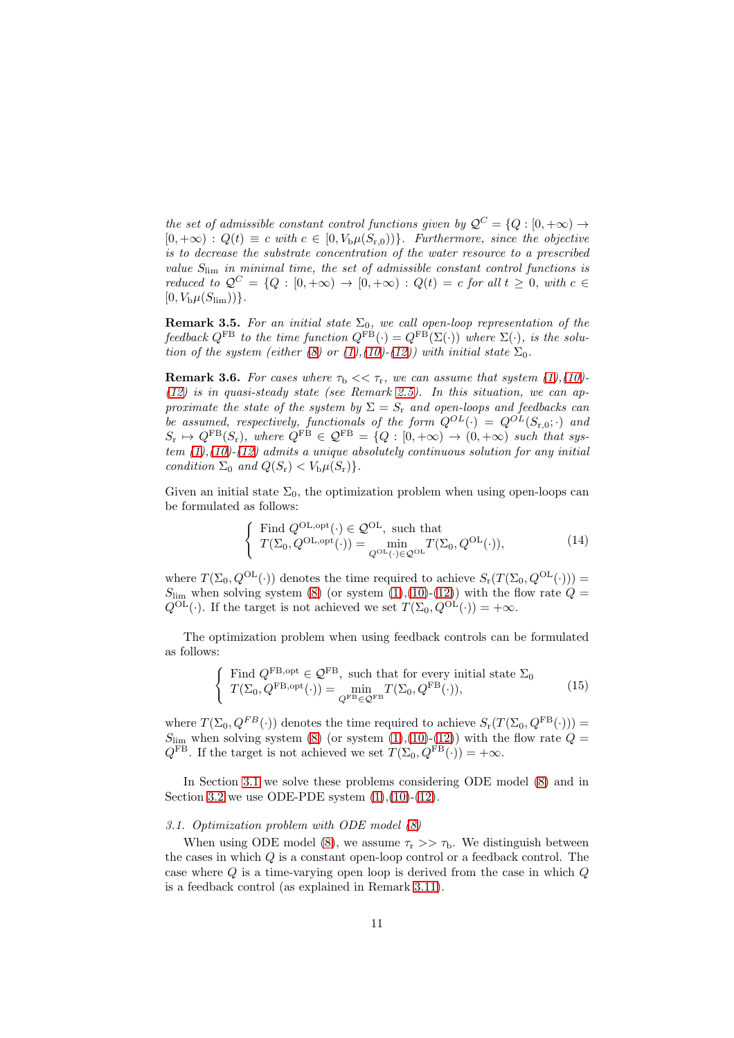the set of admissible constant control functions given by  $\mathcal{Q}^C = \{Q : [0, +\infty) \to \mathbb{R}^d\}$  $[0, +\infty)$ :  $Q(t) \equiv c$  with  $c \in [0, V_b \mu(S_{r,0}))$ . Furthermore, since the objective is to decrease the substrate concentration of the water resource to a prescribed value  $S_{\text{lim}}$  in minimal time, the set of admissible constant control functions is reduced to  $\mathcal{Q}^C = \{Q : [0, +\infty) \to [0, +\infty) : Q(t) = c \text{ for all } t \geq 0, \text{ with } c \in \mathbb{R}$  $[0, V_{\rm b}\mu(S_{\rm lim}))\}.$ 

<span id="page-10-4"></span>**Remark 3.5.** For an initial state  $\Sigma_0$ , we call open-loop representation of the feedback  $Q^{FB}$  to the time function  $Q^{FB}(\cdot) = Q^{FB}(\Sigma(\cdot))$  where  $\Sigma(\cdot)$ , is the solu-tion of the system (either [\(8\)](#page-5-2) or [\(1\)](#page-3-3),[\(10\)](#page-6-1)-[\(12\)](#page-7-1)) with initial state  $\Sigma_0$ .

<span id="page-10-0"></span>**Remark 3.6.** For cases where  $\tau_b \ll \tau_r$ , we can assume that system [\(1\)](#page-3-3),[\(10\)](#page-6-1)- $(12)$  is in quasi-steady state (see Remark [2.5\)](#page-8-1). In this situation, we can approximate the state of the system by  $\Sigma = S_r$  and open-loops and feedbacks can be assumed, respectively, functionals of the form  $Q^{OL}(\cdot) = Q^{OL}(S_{r,0}; \cdot)$  and  $S_{\rm r} \to Q^{\rm FB}(S_{\rm r}),$  where  $Q^{\rm FB} \in \mathcal{Q}^{\rm FB} = \{Q : [0, +\infty) \to (0, +\infty) \text{ such that sys-} \}$ tem  $(1),(10)-(12)$  $(1),(10)-(12)$  $(1),(10)-(12)$  $(1),(10)-(12)$  admits a unique absolutely continuous solution for any initial condition  $\Sigma_0$  and  $Q(S_r) < V_b \mu(S_r)$ .

Given an initial state  $\Sigma_0$ , the optimization problem when using open-loops can be formulated as follows:

<span id="page-10-2"></span>
$$
\begin{cases}\n\text{Find } Q^{\text{OL}, \text{opt}}(\cdot) \in \mathcal{Q}^{\text{OL}}, \text{ such that} \\
T(\Sigma_0, Q^{\text{OL}, \text{opt}}(\cdot)) = \min_{Q^{\text{OL}}(\cdot) \in \mathcal{Q}^{\text{OL}}} T(\Sigma_0, Q^{\text{OL}}(\cdot)),\n\end{cases} (14)
$$

where  $T(\Sigma_0, Q^{\text{OL}}(\cdot))$  denotes the time required to achieve  $S_r(T(\Sigma_0, Q^{\text{OL}}(\cdot)))$  =  $S_{\text{lim}}$  when solving system [\(8\)](#page-5-2) (or system [\(1\)](#page-3-3),[\(10\)](#page-6-1)-[\(12\)](#page-7-1)) with the flow rate  $\hat{Q} =$  $Q^{\text{OL}}(\cdot)$ . If the target is not achieved we set  $T(\Sigma_0, Q^{\text{OL}}(\cdot)) = +\infty$ .

The optimization problem when using feedback controls can be formulated as follows:

<span id="page-10-3"></span>
$$
\begin{cases}\n\text{Find } Q^{\text{FB}, \text{opt}} \in \mathcal{Q}^{\text{FB}}, \text{ such that for every initial state } \Sigma_0 \\
T(\Sigma_0, Q^{\text{FB}, \text{opt}}(\cdot)) = \min_{Q^{\text{FB}} \in \mathcal{Q}^{\text{FB}}} T(\Sigma_0, Q^{\text{FB}}(\cdot)),\n\end{cases} (15)
$$

where  $T(\Sigma_0, Q^{FB}(\cdot))$  denotes the time required to achieve  $S_{\rm r}(T(\Sigma_0, Q^{\rm FB}(\cdot)))$  =  $S_{\text{lim}}$  when solving system [\(8\)](#page-5-2) (or system [\(1\)](#page-3-3),[\(10\)](#page-6-1)-[\(12\)](#page-7-1)) with the flow rate  $Q =$  $Q^{FB}$ . If the target is not achieved we set  $T(\Sigma_0, Q^{FB}(\cdot)) = +\infty$ .

In Section [3.1](#page-10-1) we solve these problems considering ODE model [\(8\)](#page-5-2) and in Section [3.2](#page-12-0) we use ODE-PDE system  $(1),(10)-(12)$  $(1),(10)-(12)$  $(1),(10)-(12)$  $(1),(10)-(12)$ .

#### <span id="page-10-1"></span>3.1. Optimization problem with ODE model [\(8\)](#page-5-2)

When using ODE model [\(8\)](#page-5-2), we assume  $\tau_r >> \tau_b$ . We distinguish between the cases in which Q is a constant open-loop control or a feedback control. The case where  $Q$  is a time-varying open loop is derived from the case in which  $Q$ is a feedback control (as explained in Remark [3.11\)](#page-12-1).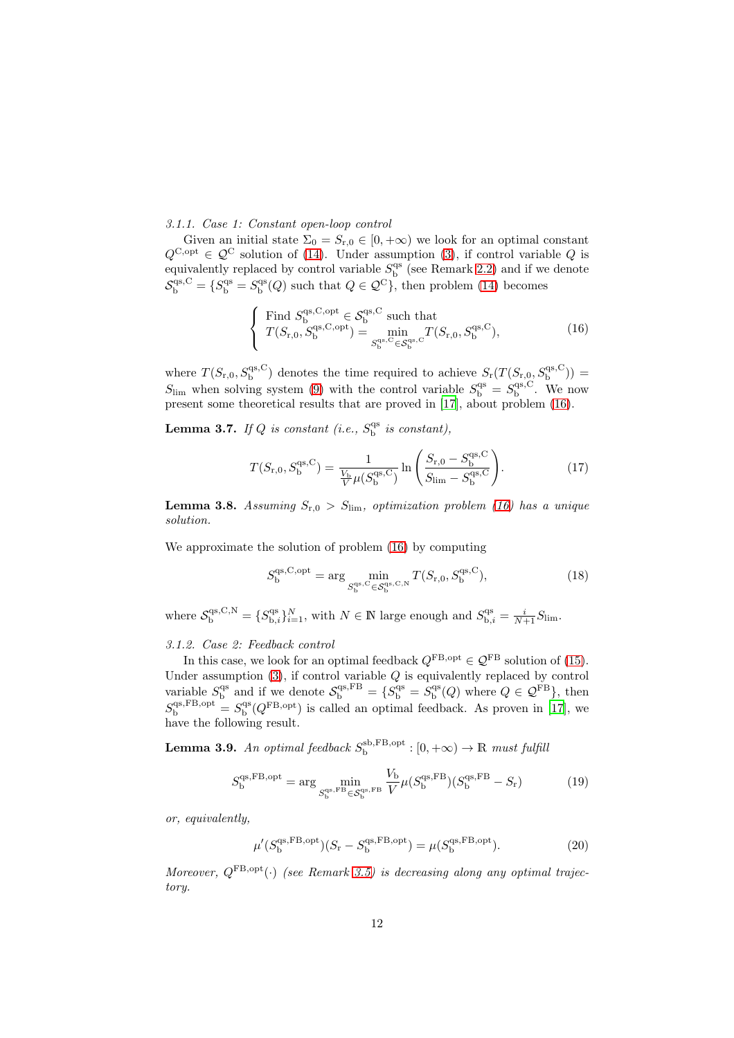## 3.1.1. Case 1: Constant open-loop control

Given an initial state  $\Sigma_0 = S_{r,0} \in [0, +\infty)$  we look for an optimal constant  $Q^{\text{C,opt}} \in \mathcal{Q}^{\text{C}}$  solution of [\(14\)](#page-10-2). Under assumption [\(3\)](#page-4-4), if control variable Q is equivalently replaced by control variable  $S_{\rm b}^{\rm qs}$  (see Remark [2.2\)](#page-5-3) and if we denote  $S_{\rm b}^{\rm qs, C} = \{S_{\rm b}^{\rm qs} = S_{\rm b}^{\rm qs}(Q) \text{ such that } Q \in \mathcal{Q}^{\rm C}\}\text{, then problem (14) becomes}$  $S_{\rm b}^{\rm qs, C} = \{S_{\rm b}^{\rm qs} = S_{\rm b}^{\rm qs}(Q) \text{ such that } Q \in \mathcal{Q}^{\rm C}\}\text{, then problem (14) becomes}$  $S_{\rm b}^{\rm qs, C} = \{S_{\rm b}^{\rm qs} = S_{\rm b}^{\rm qs}(Q) \text{ such that } Q \in \mathcal{Q}^{\rm C}\}\text{, then problem (14) becomes}$ 

<span id="page-11-0"></span>
$$
\begin{cases}\n\text{Find } S_{\text{b}}^{\text{qs},\text{C},\text{opt}} \in \mathcal{S}_{\text{b}}^{\text{qs},\text{C}} \text{ such that} \\
T(S_{\text{r},0}, S_{\text{b}}^{\text{qs},\text{C},\text{opt}}) = \min_{S_{\text{b}}^{\text{qs},\text{C}} \in \mathcal{S}_{\text{b}}^{\text{qs},\text{C}}} T(S_{\text{r},0}, S_{\text{b}}^{\text{qs},\text{C}}),\n\end{cases} (16)
$$

where  $T(S_{r,0}, S_{b}^{qs,C})$  denotes the time required to achieve  $S_r(T(S_{r,0}, S_{b}^{qs,C}))$  =  $S_{\text{lim}}$  when solving system [\(9\)](#page-5-4) with the control variable  $S_{\text{b}}^{\text{qs}} = S_{\text{b}}^{\text{qs},\text{C}}$ . We now present some theoretical results that are proved in [\[17](#page-26-6)], about problem [\(16\)](#page-11-0).

**Lemma 3.7.** If Q is constant (i.e.,  $S_b^{qs}$  is constant),

$$
T(S_{\rm r,0}, S_{\rm b}^{\rm qs, C}) = \frac{1}{\frac{V_{\rm b}}{V} \mu(S_{\rm b}^{\rm qs, C})} \ln \left( \frac{S_{\rm r,0} - S_{\rm b}^{\rm qs, C}}{S_{\rm lim} - S_{\rm b}^{\rm qs, C}} \right). \tag{17}
$$

**Lemma 3.8.** Assuming  $S_{r,0} > S_{\text{lim}}$ , optimization problem [\(16\)](#page-11-0) has a unique solution.

We approximate the solution of problem  $(16)$  by computing

<span id="page-11-2"></span>
$$
S_{\mathbf{b}}^{\mathbf{qs},\mathbf{C},\mathbf{opt}} = \arg\min_{S_{\mathbf{b}}^{\mathbf{qs},\mathbf{C}} \in S_{\mathbf{b}}^{\mathbf{qs},\mathbf{C},\mathbf{N}}} T(S_{\mathbf{r},\mathbf{0}}, S_{\mathbf{b}}^{\mathbf{qs},\mathbf{C}}),\tag{18}
$$

where  $S_{\text{b}}^{\text{qs},\text{C},\text{N}} = \{S_{\text{b},i}^{\text{qs}}\}_{i=1}^N$ , with  $N \in \mathbb{N}$  large enough and  $S_{\text{b},i}^{\text{qs}} = \frac{i}{N+1}S_{\text{lim}}$ .

## <span id="page-11-4"></span>3.1.2. Case 2: Feedback control

In this case, we look for an optimal feedback  $Q^{\text{FB, opt}} \in \mathcal{Q}^{\text{FB}}$  solution of [\(15\)](#page-10-3). Under assumption  $(3)$ , if control variable Q is equivalently replaced by control variable  $S_{\rm b}^{\rm qs}$  and if we denote  $S_{\rm b}^{\rm qs, FB} = \{S_{\rm b}^{\rm qs} = S_{\rm b}^{\rm qs}(Q)$  where  $Q \in \mathcal{Q}^{\rm FB}\},\$  then  $S_{\rm b}^{\rm qs,FB, opt} = S_{\rm b}^{\rm qs}(Q^{\rm FB, opt})$  is called an optimal feedback. As proven in [\[17\]](#page-26-6), we have the following result.

**Lemma 3.9.** An optimal feedback  $S_{\rm b}^{\rm sb, FB, opt} : [0, +\infty) \to \mathbb{R}$  must fulfill

<span id="page-11-3"></span>
$$
S_{\mathrm{b}}^{\mathrm{qs,FB, opt}} = \arg\min_{S_{\mathrm{b}}^{\mathrm{qs,FB}} \in S_{\mathrm{b}}^{\mathrm{qs,FB}}}\frac{V_{\mathrm{b}}}{V} \mu(S_{\mathrm{b}}^{\mathrm{qs,FB}})(S_{\mathrm{b}}^{\mathrm{qs,FB}} - S_{\mathrm{r}})
$$
(19)

or, equivalently,

<span id="page-11-1"></span>
$$
\mu'(S_{\rm b}^{\rm qs, FB, opt})(S_{\rm r} - S_{\rm b}^{\rm qs, FB, opt}) = \mu(S_{\rm b}^{\rm qs, FB, opt}).\tag{20}
$$

Moreover,  $Q^{\text{FB,opt}}(\cdot)$  (see Remark [3.5\)](#page-10-4) is decreasing along any optimal trajectory.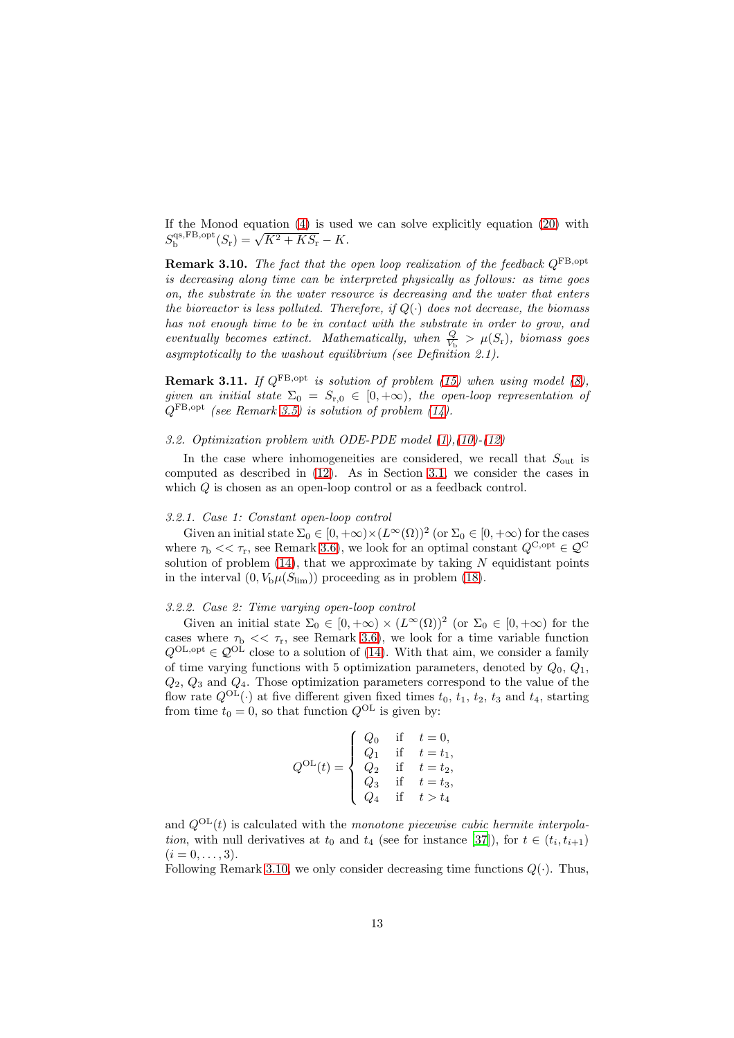<span id="page-12-2"></span>If the Monod equation [\(4\)](#page-4-2) is used we can solve explicitly equation [\(20\)](#page-11-1) with  $S_{\rm b}^{\rm qs,FB, opt}(S_{\rm r}) = \sqrt{K^2+KS_{\rm r}} - K.$ 

**Remark 3.10.** The fact that the open loop realization of the feedback  $Q^{\text{FB, opt}}$ is decreasing along time can be interpreted physically as follows: as time goes on, the substrate in the water resource is decreasing and the water that enters the bioreactor is less polluted. Therefore, if  $Q(\cdot)$  does not decrease, the biomass has not enough time to be in contact with the substrate in order to grow, and eventually becomes extinct. Mathematically, when  $\frac{Q}{V_{\rm b}} > \mu(S_{\rm r})$ , biomass goes asymptotically to the washout equilibrium (see Definition 2.1).

<span id="page-12-1"></span>**Remark 3.11.** If  $Q^{FB, opt}$  is solution of problem [\(15\)](#page-10-3) when using model [\(8\)](#page-5-2), given an initial state  $\Sigma_0 = S_{r,0} \in [0,+\infty)$ , the open-loop representation of  $Q^{\text{FB},\text{opt}}$  (see Remark [3.5\)](#page-10-4) is solution of problem [\(14\)](#page-10-2).

## <span id="page-12-0"></span>3.2. Optimization problem with ODE-PDE model [\(1\)](#page-3-3),[\(10\)](#page-6-1)-[\(12\)](#page-7-1)

In the case where inhomogeneities are considered, we recall that  $S_{\text{out}}$  is computed as described in [\(12\)](#page-7-1). As in Section [3.1,](#page-10-1) we consider the cases in which Q is chosen as an open-loop control or as a feedback control.

## <span id="page-12-3"></span>3.2.1. Case 1: Constant open-loop control

Given an initial state  $\Sigma_0 \in [0, +\infty) \times (L^{\infty}(\Omega))^2$  (or  $\Sigma_0 \in [0, +\infty)$  for the cases where  $\tau_{\rm b} << \tau_{\rm r}$ , see Remark [3.6\)](#page-10-0), we look for an optimal constant  $Q^{\rm C, opt} \in \mathcal{Q}^{\rm C}$ solution of problem  $(14)$ , that we approximate by taking N equidistant points in the interval  $(0, V_b \mu(S_{\text{lim}}))$  proceeding as in problem [\(18\)](#page-11-2).

#### <span id="page-12-4"></span>3.2.2. Case 2: Time varying open-loop control

Given an initial state  $\Sigma_0 \in [0, +\infty) \times (L^{\infty}(\Omega))^2$  (or  $\Sigma_0 \in [0, +\infty)$  for the cases where  $\tau_{\rm b} \ll \tau_{\rm r}$ , see Remark [3.6\)](#page-10-0), we look for a time variable function  $Q^{\text{OL},\text{opt}} \in \mathcal{Q}^{\text{OL}}$  close to a solution of [\(14\)](#page-10-2). With that aim, we consider a family of time varying functions with 5 optimization parameters, denoted by  $Q_0$ ,  $Q_1$ ,  $Q_2$ ,  $Q_3$  and  $Q_4$ . Those optimization parameters correspond to the value of the flow rate  $Q^{OL}(\cdot)$  at five different given fixed times  $t_0$ ,  $t_1$ ,  $t_2$ ,  $t_3$  and  $t_4$ , starting from time  $t_0 = 0$ , so that function  $Q^{OL}$  is given by:

$$
Q^{\text{OL}}(t) = \begin{cases} Q_0 & \text{if } t = 0, \\ Q_1 & \text{if } t = t_1, \\ Q_2 & \text{if } t = t_2, \\ Q_3 & \text{if } t = t_3, \\ Q_4 & \text{if } t > t_4 \end{cases}
$$

and  $Q^{OL}(t)$  is calculated with the monotone piecewise cubic hermite interpola*tion*, with null derivatives at  $t_0$  and  $t_4$  (see for instance [\[37](#page-27-12)]), for  $t \in (t_i, t_{i+1})$  $(i = 0, \ldots, 3).$ 

Following Remark [3.10,](#page-12-2) we only consider decreasing time functions  $Q(\cdot)$ . Thus,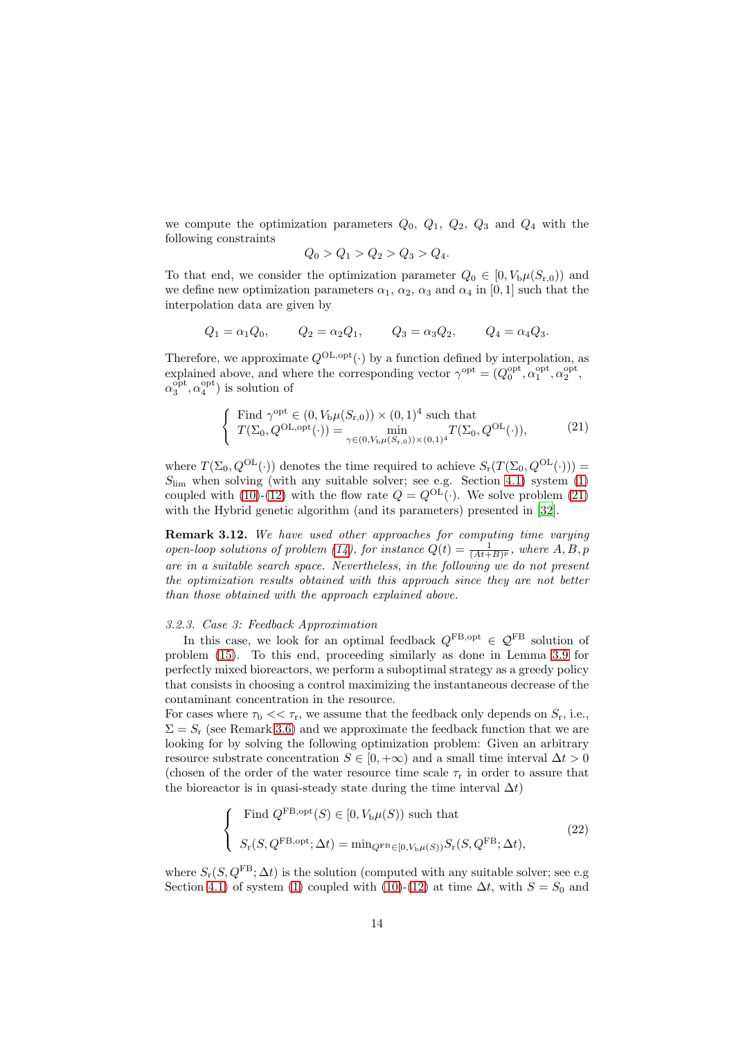we compute the optimization parameters  $Q_0$ ,  $Q_1$ ,  $Q_2$ ,  $Q_3$  and  $Q_4$  with the following constraints

$$
Q_0 > Q_1 > Q_2 > Q_3 > Q_4.
$$

To that end, we consider the optimization parameter  $Q_0 \in [0, V_b \mu(S_{r,0}))$  and we define new optimization parameters  $\alpha_1$ ,  $\alpha_2$ ,  $\alpha_3$  and  $\alpha_4$  in [0, 1] such that the interpolation data are given by

$$
Q_1 = \alpha_1 Q_0
$$
,  $Q_2 = \alpha_2 Q_1$ ,  $Q_3 = \alpha_3 Q_2$ ,  $Q_4 = \alpha_4 Q_3$ .

Therefore, we approximate  $Q^{\text{OL},\text{opt}}(\cdot)$  by a function defined by interpolation, as explained above, and where the corresponding vector  $\gamma^{\text{opt}} = (Q_0^{\text{opt}}, \alpha_1^{\text{opt}}, \alpha_2^{\text{opt}},$  $\alpha_3^{\text{opt}}, \alpha_4^{\text{opt}}$ ) is solution of

<span id="page-13-0"></span>
$$
\begin{cases}\n\text{Find } \gamma^{\text{opt}} \in (0, V_{\text{b}}\mu(S_{\text{r},0})) \times (0,1)^{4} \text{ such that} \\
T(\Sigma_{0}, Q^{\text{OL}, \text{opt}}(\cdot)) = \min_{\gamma \in (0, V_{\text{b}}\mu(S_{\text{r},0})) \times (0,1)^{4}} T(\Sigma_{0}, Q^{\text{OL}}(\cdot)),\n\end{cases} (21)
$$

where  $T(\Sigma_0, Q^{\text{OL}}(\cdot))$  denotes the time required to achieve  $S_r(T(\Sigma_0, Q^{\text{OL}}(\cdot)))$  =  $S_{\text{lim}}$  when solving (with any suitable solver; see e.g. Section [4.1\)](#page-15-1) system [\(1\)](#page-3-3) coupled with [\(10\)](#page-6-1)-[\(12\)](#page-7-1) with the flow rate  $Q = Q^{OL}(\cdot)$ . We solve problem [\(21\)](#page-13-0) with the Hybrid genetic algorithm (and its parameters) presented in [\[32](#page-27-7)].

Remark 3.12. We have used other approaches for computing time varying open-loop solutions of problem [\(14\)](#page-10-2), for instance  $Q(t) = \frac{1}{(At+B)^p}$ , where  $A, B, p$ are in a suitable search space. Nevertheless, in the following we do not present the optimization results obtained with this approach since they are not better than those obtained with the approach explained above.

### <span id="page-13-2"></span>3.2.3. Case 3: Feedback Approximation

In this case, we look for an optimal feedback  $Q^{\text{FB, opt}} \in \mathcal{Q}^{\text{FB}}$  solution of problem [\(15\)](#page-10-3). To this end, proceeding similarly as done in Lemma [3.9](#page-11-3) for perfectly mixed bioreactors, we perform a suboptimal strategy as a greedy policy that consists in choosing a control maximizing the instantaneous decrease of the contaminant concentration in the resource.

For cases where  $\tau_{\rm b} << \tau_{\rm r}$ , we assume that the feedback only depends on  $S_{\rm r}$ , i.e.,  $\Sigma = S_r$  (see Remark [3.6\)](#page-10-0) and we approximate the feedback function that we are looking for by solving the following optimization problem: Given an arbitrary resource substrate concentration  $S \in [0, +\infty)$  and a small time interval  $\Delta t > 0$ (chosen of the order of the water resource time scale  $\tau_r$  in order to assure that the bioreactor is in quasi-steady state during the time interval  $\Delta t$ )

<span id="page-13-1"></span>
$$
\begin{cases}\n\text{Find } Q^{\text{FB},\text{opt}}(S) \in [0, V_{\text{b}}\mu(S)) \text{ such that} \\
S_{\text{r}}(S, Q^{\text{FB},\text{opt}}; \Delta t) = \min_{Q^{\text{FB}} \in [0, V_{\text{b}}\mu(S))} S_{\text{r}}(S, Q^{\text{FB}}; \Delta t),\n\end{cases} \tag{22}
$$

where  $S_r(S, Q^{FB}; \Delta t)$  is the solution (computed with any suitable solver; see e.g. Section [4.1\)](#page-15-1) of system [\(1\)](#page-3-3) coupled with [\(10\)](#page-6-1)-[\(12\)](#page-7-1) at time  $\Delta t$ , with  $S = S_0$  and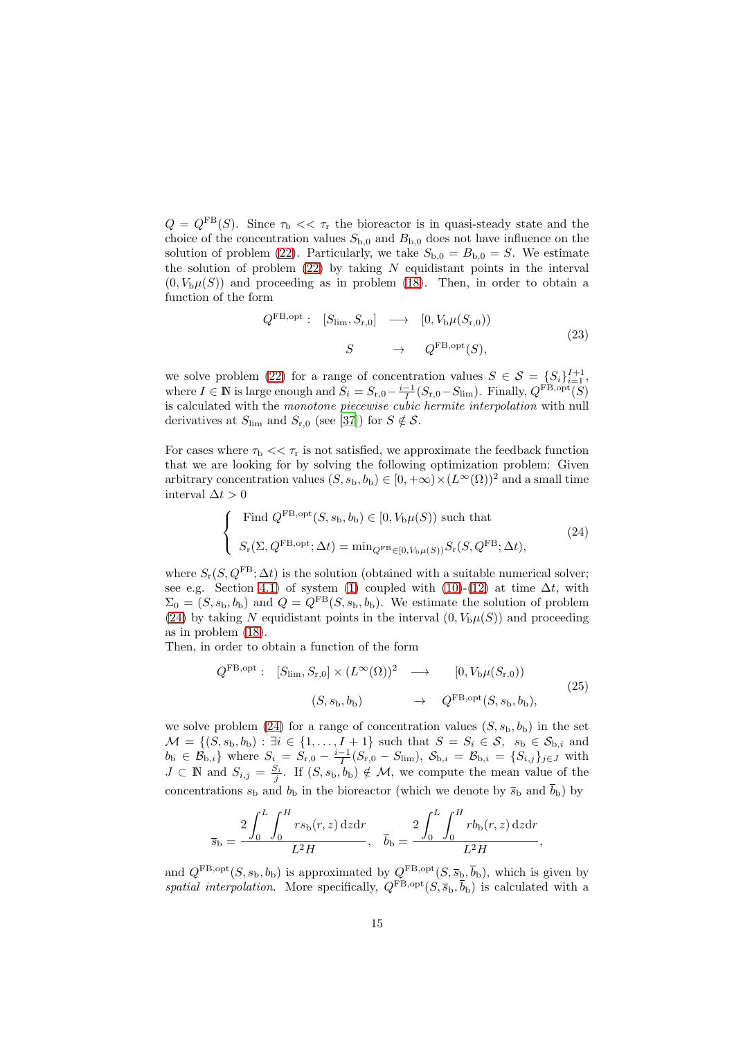$Q = Q^{\text{FB}}(S)$ . Since  $\tau_{\text{b}} \ll \tau_{\text{r}}$  the bioreactor is in quasi-steady state and the choice of the concentration values  $S_{b,0}$  and  $B_{b,0}$  does not have influence on the solution of problem [\(22\)](#page-13-1). Particularly, we take  $S_{b,0} = B_{b,0} = S$ . We estimate the solution of problem  $(22)$  by taking N equidistant points in the interval  $(0, V_b \mu(S))$  and proceeding as in problem [\(18\)](#page-11-2). Then, in order to obtain a function of the form

$$
Q^{\text{FB,opt}}: [S_{\text{lim}}, S_{\text{r},0}] \longrightarrow [0, V_{\text{b}}\mu(S_{\text{r},0}))
$$
  

$$
S \longrightarrow Q^{\text{FB,opt}}(S),
$$
 (23)

we solve problem [\(22\)](#page-13-1) for a range of concentration values  $S \in \mathcal{S} = \{S_i\}_{i=1}^{I+1}$ , where  $I \in \mathbb{N}$  is large enough and  $S_i = S_{r,0} - \frac{i-1}{I}(S_{r,0} - S_{\text{lim}})$ . Finally,  $Q^{\text{FB, opt}}(\tilde{S})$ is calculated with the monotone piecewise cubic hermite interpolation with null derivatives at  $S_{\text{lim}}$  and  $S_{\text{r},0}$  (see [\[37](#page-27-12)]) for  $S \notin \mathcal{S}$ .

For cases where  $\tau_{\rm b} \ll \tau_{\rm r}$  is not satisfied, we approximate the feedback function that we are looking for by solving the following optimization problem: Given arbitrary concentration values  $(S, s_b, b_b) \in [0, +\infty) \times (L^{\infty}(\Omega))^2$  and a small time interval  $\Delta t > 0$ 

<span id="page-14-0"></span>
$$
\begin{cases}\n\text{Find } Q^{\text{FB},\text{opt}}(S, s_{\text{b}}, b_{\text{b}}) \in [0, V_{\text{b}}\mu(S)) \text{ such that} \\
S_{\text{r}}(\Sigma, Q^{\text{FB},\text{opt}}; \Delta t) = \min_{Q^{\text{FB}} \in [0, V_{\text{b}}\mu(S))} S_{\text{r}}(S, Q^{\text{FB}}; \Delta t),\n\end{cases} (24)
$$

where  $S_r(S, Q^{FB}; \Delta t)$  is the solution (obtained with a suitable numerical solver; see e.g. Section [4.1\)](#page-15-1) of system [\(1\)](#page-3-3) coupled with [\(10\)](#page-6-1)-[\(12\)](#page-7-1) at time  $\Delta t$ , with  $\Sigma_0 = (S, s_b, b_b)$  and  $Q = Q^{\text{FB}}(S, s_b, b_b)$ . We estimate the solution of problem [\(24\)](#page-14-0) by taking N equidistant points in the interval  $(0, V_b\mu(S))$  and proceeding as in problem [\(18\)](#page-11-2).

Then, in order to obtain a function of the form

<span id="page-14-1"></span>
$$
Q^{\text{FB,opt}}: [S_{\text{lim}}, S_{\text{r},0}] \times (L^{\infty}(\Omega))^{2} \longrightarrow [0, V_{\text{b}}\mu(S_{\text{r},0}))
$$
  

$$
(S, s_{\text{b}}, b_{\text{b}}) \longrightarrow Q^{\text{FB,opt}}(S, s_{\text{b}}, b_{\text{b}}),
$$
  
(25)

we solve problem [\(24\)](#page-14-0) for a range of concentration values  $(S, s_b, b_b)$  in the set  $\mathcal{M} = \{(S, s_{\mathrm{b}}, b_{\mathrm{b}}) : \exists i \in \{1, \ldots, I+1\} \text{ such that } S = S_i \in \mathcal{S}, s_{\mathrm{b}} \in \mathcal{S}_{\mathrm{b},i} \text{ and } s_{\mathrm{b}} \in \mathcal{S}_{\mathrm{b},i} \}$  $b_{\rm b} \in \mathcal{B}_{{\rm b},i}$  where  $S_i = S_{{\rm r},0} - \frac{i-1}{I}(S_{{\rm r},0} - S_{{\rm lim}})$ ,  $\mathcal{S}_{{\rm b},i} = \mathcal{B}_{{\rm b},i} = \{S_{i,j}\}_{j\in J}$  with  $J \subset \mathbb{N}$  and  $S_{i,j} = \frac{S_i}{j}$ . If  $(S, s_b, b_b) \notin \mathcal{M}$ , we compute the mean value of the concentrations  $s_b$  and  $b_b$  in the bioreactor (which we denote by  $\bar{s}_b$  and  $\bar{b}_b$ ) by

$$
\overline{s}_{\rm b} = \frac{2 \int_0^L \int_0^H r s_{\rm b}(r, z) \, \mathrm{d}z \mathrm{d}r}{L^2 H}, \quad \overline{b}_{\rm b} = \frac{2 \int_0^L \int_0^H r b_{\rm b}(r, z) \, \mathrm{d}z \mathrm{d}r}{L^2 H},
$$

and  $Q^{\text{FB},\text{opt}}(S, s_{\text{b}}, b_{\text{b}})$  is approximated by  $Q^{\text{FB},\text{opt}}(S, \overline{s}_{\text{b}}, \overline{b}_{\text{b}})$ , which is given by spatial interpolation. More specifically,  $Q^{FB, opt}(S, \overline{s}_b, \overline{b}_b)$  is calculated with a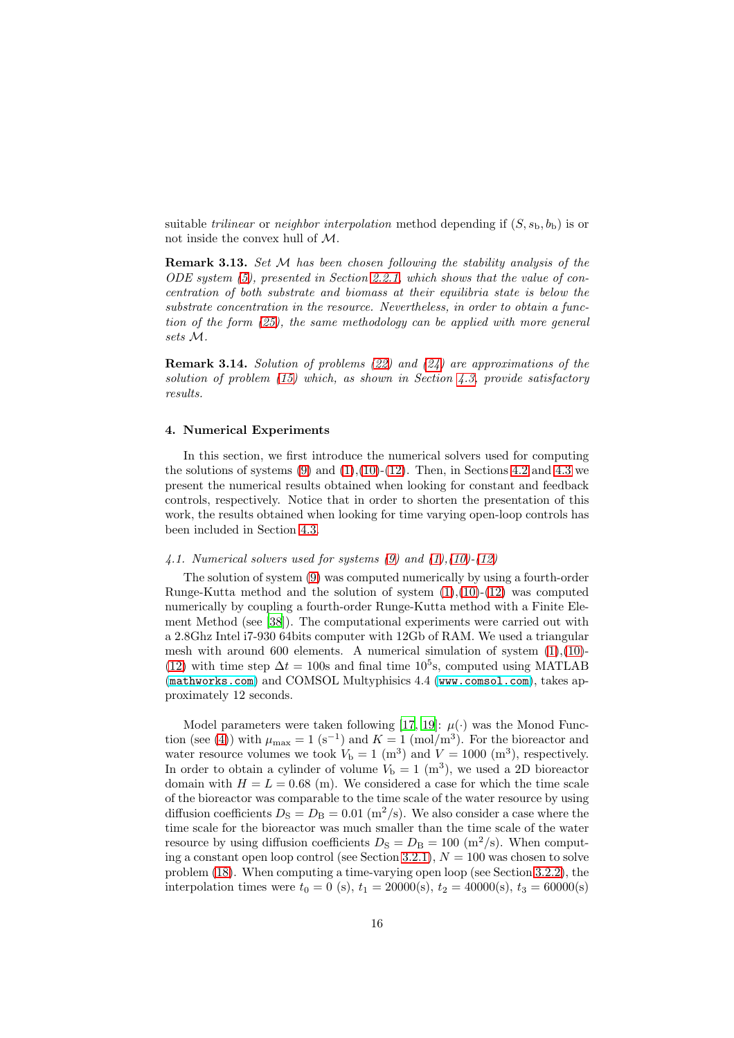suitable *trilinear* or *neighbor interpolation* method depending if  $(S, s_b, b_b)$  is or not inside the convex hull of M.

Remark 3.13. Set M has been chosen following the stability analysis of the ODE system [\(5\)](#page-4-1), presented in Section [2.2.1,](#page-4-0) which shows that the value of concentration of both substrate and biomass at their equilibria state is below the substrate concentration in the resource. Nevertheless, in order to obtain a function of the form [\(25\)](#page-14-1), the same methodology can be applied with more general sets M.

Remark 3.14. Solution of problems [\(22\)](#page-13-1) and [\(24\)](#page-14-0) are approximations of the solution of problem  $(15)$  which, as shown in Section [4.3,](#page-19-1) provide satisfactory results.

## <span id="page-15-0"></span>4. Numerical Experiments

In this section, we first introduce the numerical solvers used for computing the solutions of systems  $(9)$  and  $(1),(10)-(12)$  $(1),(10)-(12)$  $(1),(10)-(12)$  $(1),(10)-(12)$ . Then, in Sections [4.2](#page-16-0) and [4.3](#page-19-1) we present the numerical results obtained when looking for constant and feedback controls, respectively. Notice that in order to shorten the presentation of this work, the results obtained when looking for time varying open-loop controls has been included in Section [4.3.](#page-19-1)

## <span id="page-15-1"></span>4.1. Numerical solvers used for systems  $(9)$  and  $(1)$ , $(10)$ - $(12)$

The solution of system [\(9\)](#page-5-4) was computed numerically by using a fourth-order Runge-Kutta method and the solution of system  $(1),(10)-(12)$  $(1),(10)-(12)$  $(1),(10)-(12)$  $(1),(10)-(12)$  was computed numerically by coupling a fourth-order Runge-Kutta method with a Finite Element Method (see [\[38\]](#page-27-13)). The computational experiments were carried out with a 2.8Ghz Intel i7-930 64bits computer with 12Gb of RAM. We used a triangular mesh with around 600 elements. A numerical simulation of system  $(1),(10)$  $(1),(10)$ -[\(12\)](#page-7-1) with time step  $\Delta t = 100$ s and final time 10<sup>5</sup>s, computed using MATLAB (<mathworks.com>) and COMSOL Multyphisics 4.4 (<www.comsol.com>), takes approximately 12 seconds.

Model parameters were taken following [\[17](#page-26-6), [19](#page-26-8)]:  $\mu(\cdot)$  was the Monod Func-tion (see [\(4\)](#page-4-2)) with  $\mu_{\text{max}} = 1$  (s<sup>-1</sup>) and  $K = 1$  (mol/m<sup>3</sup>). For the bioreactor and water resource volumes we took  $V<sub>b</sub> = 1$  (m<sup>3</sup>) and  $V = 1000$  (m<sup>3</sup>), respectively. In order to obtain a cylinder of volume  $V<sub>b</sub> = 1$  (m<sup>3</sup>), we used a 2D bioreactor domain with  $H = L = 0.68$  (m). We considered a case for which the time scale of the bioreactor was comparable to the time scale of the water resource by using diffusion coefficients  $D_{\rm S} = D_{\rm B} = 0.01$  (m<sup>2</sup>/s). We also consider a case where the time scale for the bioreactor was much smaller than the time scale of the water resource by using diffusion coefficients  $D<sub>S</sub> = D<sub>B</sub> = 100$  (m<sup>2</sup>/s). When comput-ing a constant open loop control (see Section [3.2.1\)](#page-12-3),  $N = 100$  was chosen to solve problem [\(18\)](#page-11-2). When computing a time-varying open loop (see Section [3.2.2\)](#page-12-4), the interpolation times were  $t_0 = 0$  (s),  $t_1 = 20000(s)$ ,  $t_2 = 40000(s)$ ,  $t_3 = 60000(s)$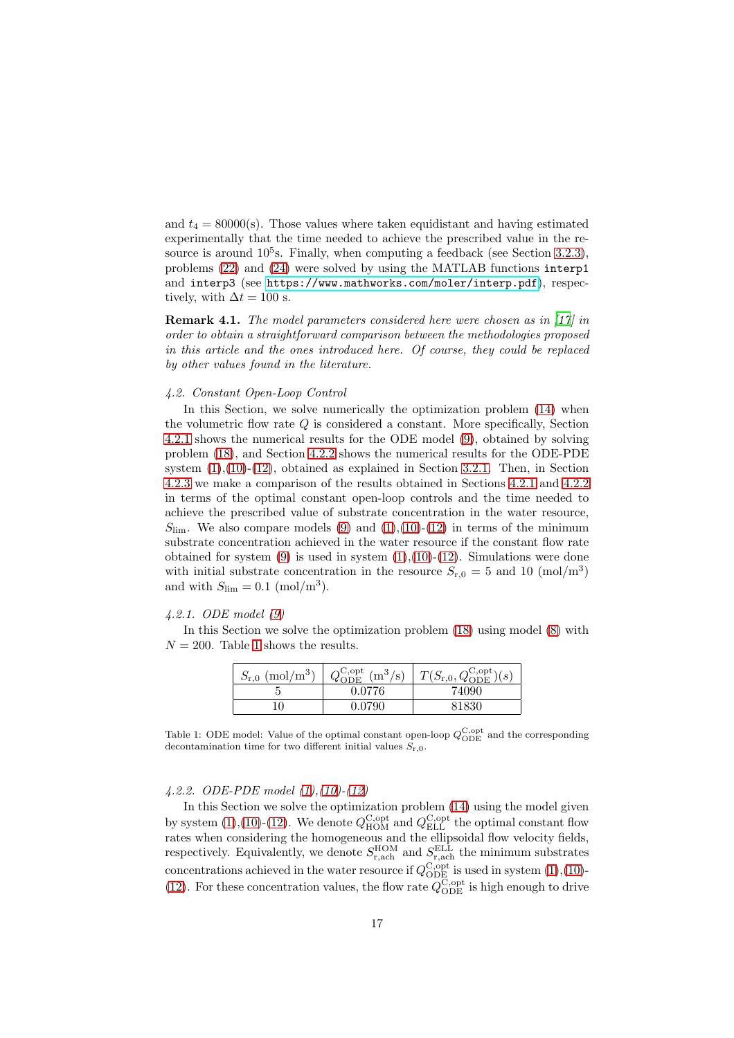and  $t_4 = 80000(s)$ . Those values where taken equidistant and having estimated experimentally that the time needed to achieve the prescribed value in the resource is around  $10^5$ s. Finally, when computing a feedback (see Section [3.2.3\)](#page-13-2), problems [\(22\)](#page-13-1) and [\(24\)](#page-14-0) were solved by using the MATLAB functions interp1 and interp3 (see <https://www.mathworks.com/moler/interp.pdf>), respectively, with  $\Delta t = 100$  s.

Remark 4.1. The model parameters considered here were chosen as in [\[17](#page-26-6)] in order to obtain a straightforward comparison between the methodologies proposed in this article and the ones introduced here. Of course, they could be replaced by other values found in the literature.

#### <span id="page-16-0"></span>4.2. Constant Open-Loop Control

In this Section, we solve numerically the optimization problem [\(14\)](#page-10-2) when the volumetric flow rate  $Q$  is considered a constant. More specifically, Section [4.2.1](#page-16-1) shows the numerical results for the ODE model [\(9\)](#page-5-4), obtained by solving problem [\(18\)](#page-11-2), and Section [4.2.2](#page-16-2) shows the numerical results for the ODE-PDE system  $(1)$ , $(10)$ - $(12)$ , obtained as explained in Section [3.2.1.](#page-12-3) Then, in Section [4.2.3](#page-17-0) we make a comparison of the results obtained in Sections [4.2.1](#page-16-1) and [4.2.2](#page-16-2) in terms of the optimal constant open-loop controls and the time needed to achieve the prescribed value of substrate concentration in the water resource,  $S_{\text{lim}}$ . We also compare models [\(9\)](#page-5-4) and [\(1\)](#page-3-3),[\(10\)](#page-6-1)-[\(12\)](#page-7-1) in terms of the minimum substrate concentration achieved in the water resource if the constant flow rate obtained for system  $(9)$  is used in system  $(1),(10)-(12)$  $(1),(10)-(12)$  $(1),(10)-(12)$  $(1),(10)-(12)$ . Simulations were done with initial substrate concentration in the resource  $S_{r,0} = 5$  and 10 (mol/m<sup>3</sup>) and with  $S_{\text{lim}} = 0.1 \text{ (mol/m}^3)$ .

### <span id="page-16-1"></span>4.2.1. ODE model [\(9\)](#page-5-4)

In this Section we solve the optimization problem [\(18\)](#page-11-2) using model [\(8\)](#page-5-2) with  $N = 200$ . Table [1](#page-16-3) shows the results.

| $S_{r,0}$ (mol/m <sup>3</sup> ) | $Q_{\text{ODF}}^{\text{C,opt}}$ (m <sup>3</sup> /s) | $T(S_{r,0}, Q_{\text{ODE}}^{\text{C,opt}})(s)$ |
|---------------------------------|-----------------------------------------------------|------------------------------------------------|
|                                 | 0.0776                                              | 74090                                          |
| 10                              | 0.0790                                              | 81830                                          |

<span id="page-16-3"></span>Table 1: ODE model: Value of the optimal constant open-loop  $Q_{\text{ODE}}^{\text{C,opt}}$  and the corresponding decontamination time for two different initial values  $S_{r,0}$ .

#### <span id="page-16-2"></span>4.2.2. ODE-PDE model [\(1\)](#page-3-3),[\(10\)](#page-6-1)-[\(12\)](#page-7-1)

In this Section we solve the optimization problem [\(14\)](#page-10-2) using the model given by system [\(1\)](#page-3-3),[\(10\)](#page-6-1)-[\(12\)](#page-7-1). We denote  $Q_{\text{HOM}}^{\text{C,opt}}$  and  $Q_{\text{ELL}}^{\text{C,opt}}$  the optimal constant flow rates when considering the homogeneous and the ellipsoidal flow velocity fields, respectively. Equivalently, we denote  $S_{\text{r,ach}}^{\text{HOM}}$  and  $S_{\text{r,ach}}^{\text{ELL}}$  the minimum substrates concentrations achieved in the water resource if  $Q_{\text{ODE}}^{\text{C, opt}}$  is used in system [\(1\)](#page-3-3),[\(10\)](#page-6-1)-[\(12\)](#page-7-1). For these concentration values, the flow rate  $Q_{\rm ODE}^{\rm C, opt}$  is high enough to drive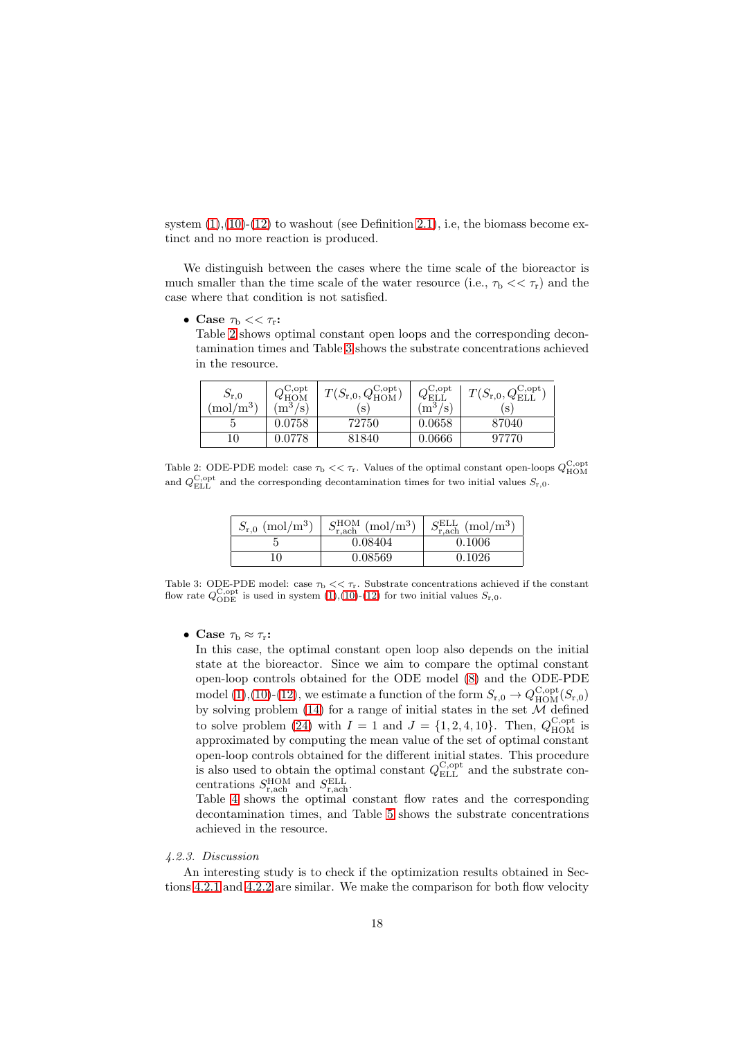system  $(1)(10)-(12)$  $(1)(10)-(12)$  $(1)(10)-(12)$  $(1)(10)-(12)$  to washout (see Definition [2.1\)](#page-4-3), i.e. the biomass become extinct and no more reaction is produced.

We distinguish between the cases where the time scale of the bioreactor is much smaller than the time scale of the water resource (i.e.,  $\tau_b \ll \tau_r$ ) and the case where that condition is not satisfied.

• Case  $\tau_{\rm b} << \tau_{\rm r}$ :

Table [2](#page-17-1) shows optimal constant open loops and the corresponding decontamination times and Table [3](#page-17-2) shows the substrate concentrations achieved in the resource.

| $\sigma_{\rm r,0}$<br>$\mu/m^{3}$<br>$\mod$ | $C$ ,opt<br>ΨНОΜ<br>$m^{\prime}$<br>S. | C, opt<br>T(S)<br>$(S_{r,0},\mathsf{Q}_{\mathrm{HOM}})$<br>S | $\mathop{\rm C}{\rm ,} {\rm opt}$<br>$\mathbf{\mathtt{w}}_{\text{ELL}}$<br>ິ<br>'s<br>$m^{\prime}$ | $\mathop{\rm C,\!opt}\nolimits$<br>$T(S_{\rm r,0},Q_{\rm ELI}^{\rm C, op})$<br>. S |
|---------------------------------------------|----------------------------------------|--------------------------------------------------------------|----------------------------------------------------------------------------------------------------|------------------------------------------------------------------------------------|
| Ð                                           | $\,0.0758\,$                           | 72750                                                        | 0.0658                                                                                             | 87040                                                                              |
| 10                                          | 0.0778                                 | 81840                                                        | 0.0666                                                                                             | 97770                                                                              |

<span id="page-17-1"></span>Table 2: ODE-PDE model: case  $\tau_{\rm b} << \tau_{\rm r}$ . Values of the optimal constant open-loops  $Q_{\rm HOM}^{\rm C, opt}$ and  $Q_{\text{ELL}}^{\text{C,opt}}$  and the corresponding decontamination times for two initial values  $S_{\text{r},0}$ .

| $S_{r,0}$ (mol/m <sup>3</sup> ) | $S_{\text{r,ach}}^{\text{HOM}}$ (mol/m <sup>3</sup> ) | $S_{\rm r,ach}^{\rm ELL}$ (mol/m <sup>3</sup> ) |
|---------------------------------|-------------------------------------------------------|-------------------------------------------------|
|                                 | 0.08404                                               | 0.1006                                          |
| 10-                             | 0.08569                                               | 0.1026                                          |

<span id="page-17-2"></span>Table 3: ODE-PDE model: case  $\tau_{\rm b} \ll \tau_{\rm r}$ . Substrate concentrations achieved if the constant flow rate  $Q_{\text{ODE}}^{\text{C, opt}}$  is used in system [\(1\)](#page-3-3),[\(10\)](#page-6-1)-[\(12\)](#page-7-1) for two initial values  $S_{\text{r},0}$ .

## • Case  $\tau_{\rm b} \approx \tau_{\rm r}$ :

In this case, the optimal constant open loop also depends on the initial state at the bioreactor. Since we aim to compare the optimal constant open-loop controls obtained for the ODE model [\(8\)](#page-5-2) and the ODE-PDE model [\(1\)](#page-3-3),[\(10\)](#page-6-1)-[\(12\)](#page-7-1), we estimate a function of the form  $S_{r,0} \to Q_{\text{HOM}}^{\text{C,opt}}(S_{r,0})$ by solving problem [\(14\)](#page-10-2) for a range of initial states in the set  $\overline{\mathcal{M}}$  defined to solve problem [\(24\)](#page-14-0) with  $I = 1$  and  $J = \{1, 2, 4, 10\}$ . Then,  $Q_{\text{HOM}}^{\text{C,opt}}$  is approximated by computing the mean value of the set of optimal constant open-loop controls obtained for the different initial states. This procedure is also used to obtain the optimal constant  $Q_{\text{ELL}}^{\text{C,opt}}$  and the substrate concentrations  $S_{\text{r},\text{ach}}^{\text{HOM}}$  and  $S_{\text{r},\text{ach}}^{\text{ELL}}$ .

Table [4](#page-18-0) shows the optimal constant flow rates and the corresponding decontamination times, and Table [5](#page-18-1) shows the substrate concentrations achieved in the resource.

## <span id="page-17-0"></span>4.2.3. Discussion

An interesting study is to check if the optimization results obtained in Sections [4.2.1](#page-16-1) and [4.2.2](#page-16-2) are similar. We make the comparison for both flow velocity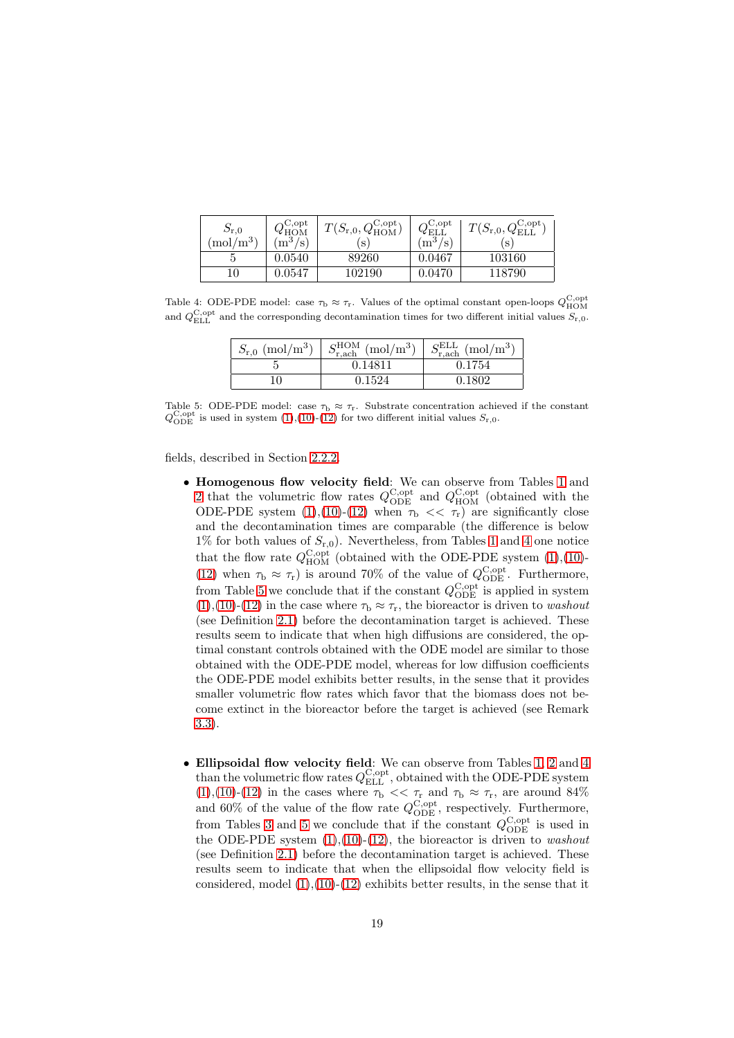| $S_{\rm r,0}$<br>$(mol/m^3)$ | $C_{\cdot}$ opt<br>$, m^{\prime}$<br>/s | $\cdot$   $T(S_{\text{r},0},Q_{\text{HOM}})$<br>S | C, opt<br>YELI<br>ാ<br>$m^{\circ}$<br>/s | $O_{\rm p}$ C,opt<br>$T(S_{\rm r,0},Q_{\rm ELL}^{\rm C, op})$<br>S |
|------------------------------|-----------------------------------------|---------------------------------------------------|------------------------------------------|--------------------------------------------------------------------|
|                              | 0.0540                                  | 89260                                             | 0.0467                                   | 103160                                                             |
| 10                           | 0.0547                                  | 102190                                            | 0.0470                                   | 118790                                                             |

Table 4: ODE-PDE model: case  $\tau_{\rm b} \approx \tau_{\rm r}$ . Values of the optimal constant open-loops  $Q_{\rm HOM}^{\rm C,opt}$ and  $Q_{\text{ELL}}^{\text{C,opt}}$  and the corresponding decontamination times for two different initial values  $S_{\text{r},0}$ .

<span id="page-18-0"></span>

| $S_{r,0}$ (mol/m <sup>3</sup> ) | $S_{\text{r},\text{ach}}^{\text{HOM}}$ (mol/m <sup>3</sup> ) | $S_{\text{r,ach}}^{\text{ELL}} \text{ (mol/m}^3)$ |
|---------------------------------|--------------------------------------------------------------|---------------------------------------------------|
|                                 | 0.14811                                                      | 0.1754                                            |
|                                 | 0.1524                                                       | 0.1802                                            |

<span id="page-18-1"></span>Table 5: ODE-PDE model: case  $\tau_b \approx \tau_r$ . Substrate concentration achieved if the constant  $Q_{\rm ODE}^{\rm C,opt}$  is used in system [\(1\)](#page-3-3),[\(10\)](#page-6-1)-[\(12\)](#page-7-1) for two different initial values  $S_{\rm r,0}$ .

fields, described in Section [2.2.2.](#page-5-0)

- Homogenous flow velocity field: We can observe from Tables [1](#page-16-3) and [2](#page-17-1) that the volumetric flow rates  $Q_{\text{ODE}}^{\text{C,opt}}$  and  $Q_{\text{HOM}}^{\text{C,opt}}$  (obtained with the ODE-PDE system  $(1),(10)-(12)$  $(1),(10)-(12)$  $(1),(10)-(12)$  $(1),(10)-(12)$  when  $\tau_{\rm b} \ll \tau_{\rm r}$  are significantly close and the decontamination times are comparable (the difference is below 1% for both values of  $S_{r,0}$ ). Nevertheless, from Tables [1](#page-16-3) and [4](#page-18-0) one notice that the flow rate  $Q_{\text{HOM}}^{\text{C,opt}}$  (obtained with the ODE-PDE system [\(1\)](#page-3-3),[\(10\)](#page-6-1)-[\(12\)](#page-7-1) when  $\tau_{\rm b} \approx \tau_{\rm r}$ ) is around 70% of the value of  $Q_{\rm ODE}^{\rm C, opt}$ . Furthermore, from Table [5](#page-18-1) we conclude that if the constant  $Q_{\rm ODE}^{\rm C, opt}$  is applied in system  $(1),(10)-(12)$  $(1),(10)-(12)$  $(1),(10)-(12)$  $(1),(10)-(12)$  $(1),(10)-(12)$  in the case where  $\tau_{\rm b} \approx \tau_{\rm r}$ , the bioreactor is driven to *washout* (see Definition [2.1\)](#page-4-3) before the decontamination target is achieved. These results seem to indicate that when high diffusions are considered, the optimal constant controls obtained with the ODE model are similar to those obtained with the ODE-PDE model, whereas for low diffusion coefficients the ODE-PDE model exhibits better results, in the sense that it provides smaller volumetric flow rates which favor that the biomass does not become extinct in the bioreactor before the target is achieved (see Remark [3.3\)](#page-9-2).
- Ellipsoidal flow velocity field: We can observe from Tables [1,](#page-16-3) [2](#page-17-1) and [4](#page-18-0) than the volumetric flow rates  $Q_{\mathrm{ELL}}^{\mathrm{C, opt}}$ , obtained with the ODE-PDE system [\(1\)](#page-3-3),[\(10\)](#page-6-1)-[\(12\)](#page-7-1) in the cases where  $\tau_{\rm b} \ll \tau_{\rm r}$  and  $\tau_{\rm b} \approx \tau_{\rm r}$ , are around 84% and 60% of the value of the flow rate  $Q_{\text{ODE}}^{\text{C,opt}}$ , respectively. Furthermore, from Tables [3](#page-17-2) and [5](#page-18-1) we conclude that if the constant  $Q_{\rm ODE}^{\rm C, opt}$  is used in the ODE-PDE system  $(1),(10)-(12)$  $(1),(10)-(12)$  $(1),(10)-(12)$  $(1),(10)-(12)$ , the bioreactor is driven to *washout* (see Definition [2.1\)](#page-4-3) before the decontamination target is achieved. These results seem to indicate that when the ellipsoidal flow velocity field is considered, model  $(1)$ , $(10)$ - $(12)$  exhibits better results, in the sense that it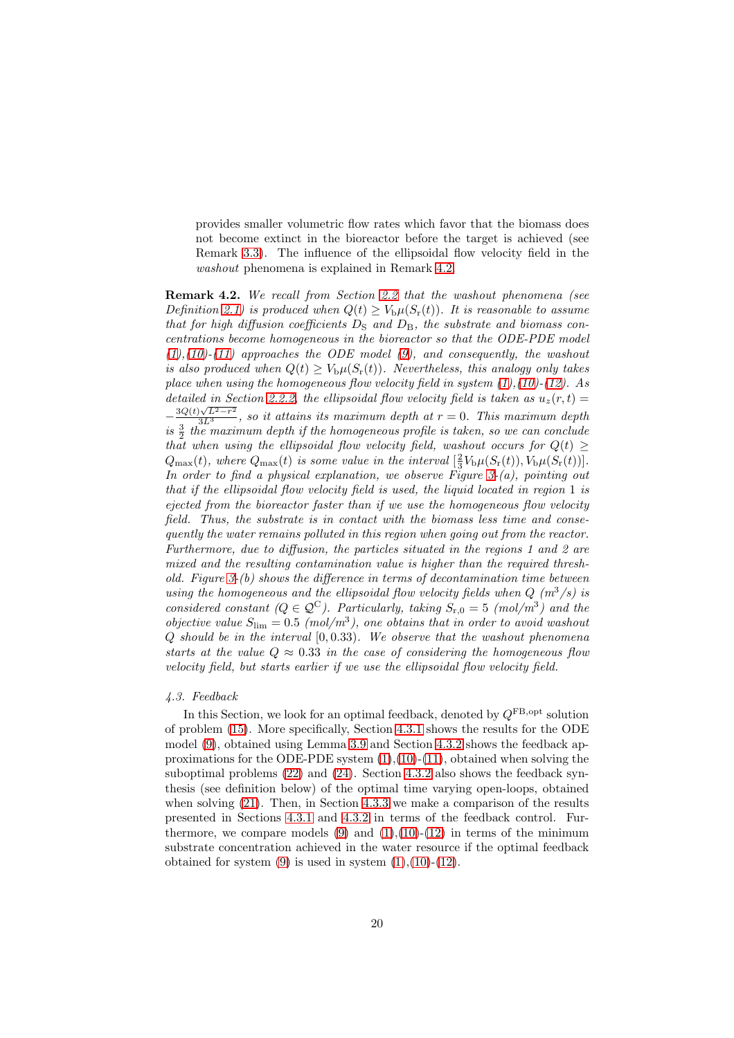provides smaller volumetric flow rates which favor that the biomass does not become extinct in the bioreactor before the target is achieved (see Remark [3.3\)](#page-9-2). The influence of the ellipsoidal flow velocity field in the washout phenomena is explained in Remark [4.2.](#page-19-0)

<span id="page-19-0"></span>Remark 4.2. We recall from Section [2.2](#page-3-2) that the washout phenomena (see Definition [2.1\)](#page-4-3) is produced when  $Q(t) \geq V_{\rm b} \mu(S_{\rm r}(t))$ . It is reasonable to assume that for high diffusion coefficients  $D<sub>S</sub>$  and  $D<sub>B</sub>$ , the substrate and biomass concentrations become homogeneous in the bioreactor so that the ODE-PDE model  $(1),(10)-(11)$  $(1),(10)-(11)$  $(1),(10)-(11)$  $(1),(10)-(11)$  $(1),(10)-(11)$  approaches the ODE model  $(9)$ , and consequently, the washout is also produced when  $Q(t) \geq V_{\rm b}\mu(S_{\rm r}(t))$ . Nevertheless, this analogy only takes place when using the homogeneous flow velocity field in system  $(1)$ , $(10)$ - $(12)$ . As detailed in Section [2.2.2,](#page-5-0) the ellipsoidal flow velocity field is taken as  $u_z(r,t)$  $-\frac{3Q(t)\sqrt{L^2-r^2}}{3L^3}$ , so it attains its maximum depth at  $r=0$ . This maximum depth is  $\frac{3}{2}$  the maximum depth if the homogeneous profile is taken, so we can conclude that when using the ellipsoidal flow velocity field, washout occurs for  $Q(t) \geq$  $Q_{\text{max}}(t)$ , where  $Q_{\text{max}}(t)$  is some value in the interval  $\left[\frac{2}{3}V_{\text{b}}\mu(S_{\text{r}}(t)), V_{\text{b}}\mu(S_{\text{r}}(t))\right]$ . In order to find a physical explanation, we observe Figure  $3-(a)$ , pointing out that if the ellipsoidal flow velocity field is used, the liquid located in region 1 is ejected from the bioreactor faster than if we use the homogeneous flow velocity field. Thus, the substrate is in contact with the biomass less time and consequently the water remains polluted in this region when going out from the reactor. Furthermore, due to diffusion, the particles situated in the regions 1 and 2 are mixed and the resulting contamination value is higher than the required threshold. Figure  $3-(b)$  shows the difference in terms of decontamination time between using the homogeneous and the ellipsoidal flow velocity fields when  $Q(m^3/s)$  is considered constant  $(Q \in \mathcal{Q}^C)$ . Particularly, taking  $S_{r,0} = 5 \pmod{m^3}$  and the objective value  $S_{\text{lim}} = 0.5 \ (mol/m^3)$ , one obtains that in order to avoid washout  $Q$  should be in the interval  $[0, 0.33)$ . We observe that the washout phenomena starts at the value  $Q \approx 0.33$  in the case of considering the homogeneous flow velocity field, but starts earlier if we use the ellipsoidal flow velocity field.

#### <span id="page-19-1"></span>4.3. Feedback

In this Section, we look for an optimal feedback, denoted by  $Q^{\text{FB},\text{opt}}$  solution of problem [\(15\)](#page-10-3). More specifically, Section [4.3.1](#page-20-1) shows the results for the ODE model [\(9\)](#page-5-4), obtained using Lemma [3.9](#page-11-3) and Section [4.3.2](#page-20-2) shows the feedback approximations for the ODE-PDE system  $(1),(10)-(11)$  $(1),(10)-(11)$  $(1),(10)-(11)$  $(1),(10)-(11)$ , obtained when solving the suboptimal problems [\(22\)](#page-13-1) and [\(24\)](#page-14-0). Section [4.3.2](#page-20-2) also shows the feedback synthesis (see definition below) of the optimal time varying open-loops, obtained when solving  $(21)$ . Then, in Section [4.3.3](#page-22-0) we make a comparison of the results presented in Sections [4.3.1](#page-20-1) and [4.3.2](#page-20-2) in terms of the feedback control. Furthermore, we compare models  $(9)$  and  $(1),(10)-(12)$  $(1),(10)-(12)$  $(1),(10)-(12)$  $(1),(10)-(12)$  in terms of the minimum substrate concentration achieved in the water resource if the optimal feedback obtained for system  $(9)$  is used in system  $(1),(10)-(12)$  $(1),(10)-(12)$  $(1),(10)-(12)$  $(1),(10)-(12)$ .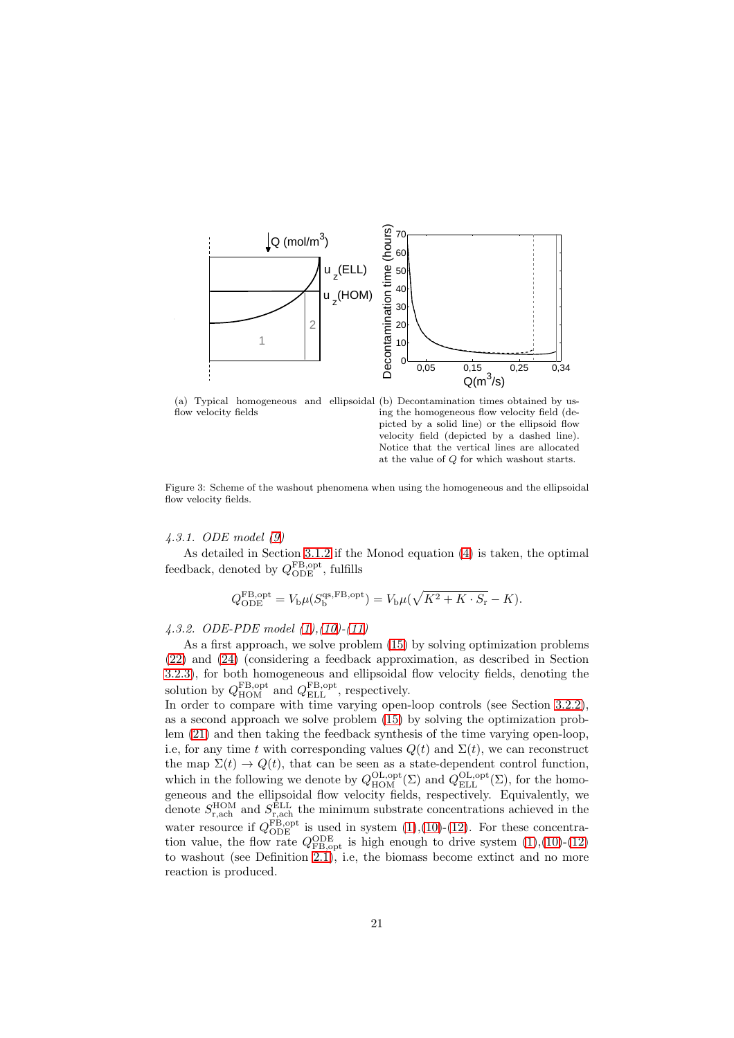

flow velocity fields

(a) Typical homogeneous and ellipsoidal (b) Decontamination times obtained by using the homogeneous flow velocity field (depicted by a solid line) or the ellipsoid flow velocity field (depicted by a dashed line). Notice that the vertical lines are allocated at the value of Q for which washout starts.

<span id="page-20-0"></span>Figure 3: Scheme of the washout phenomena when using the homogeneous and the ellipsoidal flow velocity fields.

<span id="page-20-1"></span>4.3.1. ODE model [\(9\)](#page-5-4)

As detailed in Section [3.1.2](#page-11-4) if the Monod equation [\(4\)](#page-4-2) is taken, the optimal feedback, denoted by  $Q_{\rm ODE}^{\rm FB,opt}$ , fulfills

$$
Q_{\rm ODE}^{\rm FB,opt} = V_{\rm b}\mu(S_{\rm b}^{\rm qs, FB,opt}) = V_{\rm b}\mu(\sqrt{K^2 + K \cdot S_{\rm r}} - K).
$$

## <span id="page-20-2"></span>4.3.2. ODE-PDE model [\(1\)](#page-3-3),[\(10\)](#page-6-1)-[\(11\)](#page-7-0)

As a first approach, we solve problem [\(15\)](#page-10-3) by solving optimization problems [\(22\)](#page-13-1) and [\(24\)](#page-14-0) (considering a feedback approximation, as described in Section [3.2.3\)](#page-13-2), for both homogeneous and ellipsoidal flow velocity fields, denoting the solution by  $Q_{\text{HOM}}^{\text{FB,opt}}$  and  $Q_{\text{ELL}}^{\text{FB,opt}}$ , respectively.

In order to compare with time varying open-loop controls (see Section [3.2.2\)](#page-12-4), as a second approach we solve problem [\(15\)](#page-10-3) by solving the optimization problem [\(21\)](#page-13-0) and then taking the feedback synthesis of the time varying open-loop, i.e, for any time t with corresponding values  $Q(t)$  and  $\Sigma(t)$ , we can reconstruct the map  $\Sigma(t) \to Q(t)$ , that can be seen as a state-dependent control function, which in the following we denote by  $Q_{\text{HOM}}^{\text{OL,opt}}(\Sigma)$  and  $Q_{\text{ELL}}^{\text{OL,opt}}(\Sigma)$ , for the homogeneous and the ellipsoidal flow velocity fields, respectively. Equivalently, we denote  $S_{\text{r},\text{ach}}^{\text{HOM}}$  and  $S_{\text{r},\text{ach}}^{\text{ELL}}$  the minimum substrate concentrations achieved in the water resource if  $Q_{\text{ODE}}^{\text{FB, opt}}$  is used in system [\(1\)](#page-3-3),[\(10\)](#page-6-1)-[\(12\)](#page-7-1). For these concentration value, the flow rate  $Q_{\text{FB,opt}}^{\text{ODE}}$  is high enough to drive system  $(1),(10)-(12)$  $(1),(10)-(12)$  $(1),(10)-(12)$  $(1),(10)-(12)$ to washout (see Definition [2.1\)](#page-4-3), i.e, the biomass become extinct and no more reaction is produced.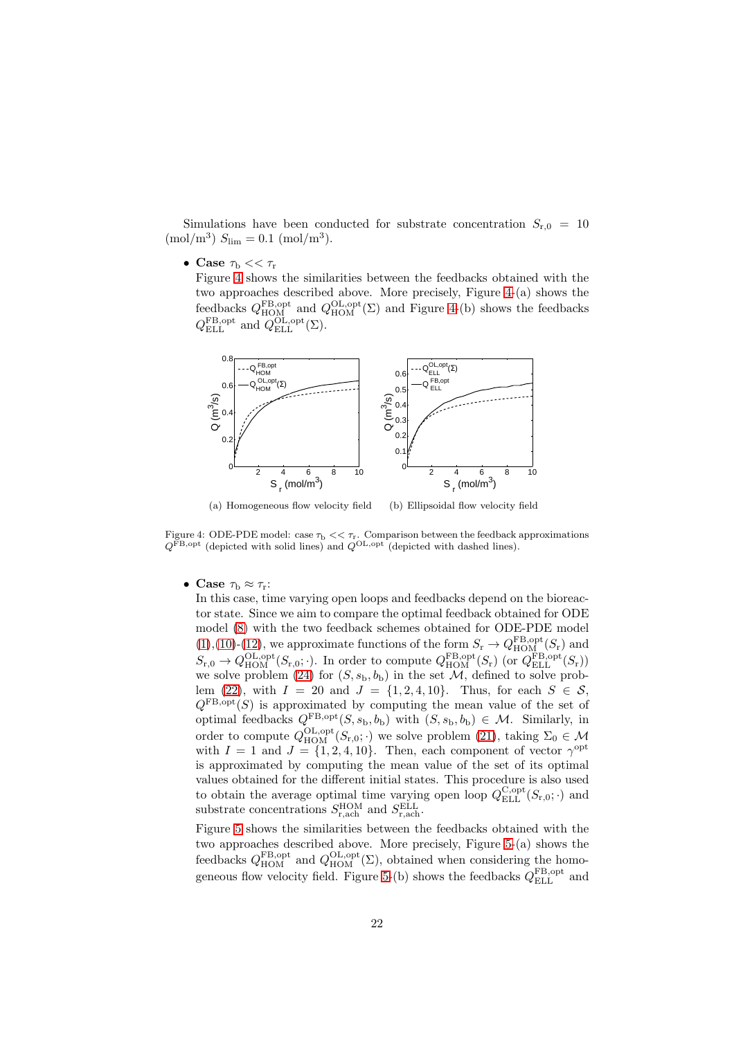Simulations have been conducted for substrate concentration  $S_{r,0} = 10$  $\text{(mol/m}^3) S_{\text{lim}} = 0.1 \text{ (mol/m}^3).$ 

• Case  $\tau_{\rm b} << \tau_{\rm r}$ 

Figure [4](#page-21-0) shows the similarities between the feedbacks obtained with the two approaches described above. More precisely, Figure [4-](#page-21-0)(a) shows the feedbacks  $Q_{\text{HOM}}^{\text{FB},\text{opt}}$  and  $Q_{\text{HOM}}^{\text{OL},\text{opt}}(\Sigma)$  and Figure [4-](#page-21-0)(b) shows the feedbacks  $Q_{\text{ELL}}^{\text{FB,opt}}$  and  $Q_{\text{ELL}}^{\text{OL,opt}}(\Sigma)$ .



<span id="page-21-0"></span>(a) Homogeneous flow velocity field (b) Ellipsoidal flow velocity field

Figure 4: ODE-PDE model: case  $\tau_{\rm b} << \tau_{\rm r}$ . Comparison between the feedback approximations  $Q^{\text{FB,opt}}$  (depicted with solid lines) and  $Q^{\text{OL,opt}}$  (depicted with dashed lines).

• Case  $\tau_{\rm b} \approx \tau_{\rm r}$ :

In this case, time varying open loops and feedbacks depend on the bioreactor state. Since we aim to compare the optimal feedback obtained for ODE model [\(8\)](#page-5-2) with the two feedback schemes obtained for ODE-PDE model  $(1),(10)-(12)$  $(1),(10)-(12)$  $(1),(10)-(12)$  $(1),(10)-(12)$  $(1),(10)-(12)$ , we approximate functions of the form  $S_r \to Q_{\text{HOM}_r}^{\text{FB,opt}}(S_r)$  and  $S_{r,0} \to Q_{\text{HOM}}^{\text{OL},\text{opt}}(S_{r,0};\cdot)$ . In order to compute  $Q_{\text{HOM}}^{\text{FB},\text{opt}}(S_r)$  (or  $Q_{\text{ELL}}^{\text{FB},\text{opt}}(S_r)$ ) we solve problem [\(24\)](#page-14-0) for  $(S, s_b, b_b)$  in the set  $M$ , defined to solve prob-lem [\(22\)](#page-13-1), with  $I = 20$  and  $J = \{1, 2, 4, 10\}$ . Thus, for each  $S \in \mathcal{S}$ ,  $Q^{\text{FB},\text{opt}}(S)$  is approximated by computing the mean value of the set of optimal feedbacks  $Q_{\text{S}_b}^{\text{FB}, \text{opt}}(S, s_b, b_b)$  with  $(S, s_b, b_b) \in \mathcal{M}$ . Similarly, in order to compute  $Q_{\text{HOM}}^{\text{OL},\text{opt}}(S_{\text{r},0};\cdot)$  we solve problem [\(21\)](#page-13-0), taking  $\Sigma_0 \in \mathcal{M}$ with  $I = 1$  and  $J = \{1, 2, 4, 10\}$ . Then, each component of vector  $\gamma^{\text{opt}}$ is approximated by computing the mean value of the set of its optimal values obtained for the different initial states. This procedure is also used to obtain the average optimal time varying open loop  $Q_{\text{ELL}}^{\text{C,opt}}(S_{r,0};\cdot)$  and substrate concentrations  $S_{\text{r,ach}}^{\text{HOM}}$  and  $S_{\text{r,ach}}^{\text{ELL}}$ .

Figure [5](#page-22-1) shows the similarities between the feedbacks obtained with the two approaches described above. More precisely, Figure [5-](#page-22-1)(a) shows the feedbacks  $Q_{\text{HOM}}^{\text{FB},\text{opt}}$  and  $Q_{\text{HOM}}^{\text{OL},\text{opt}}(\Sigma)$ , obtained when considering the homo-geneous flow velocity field. Figure [5-](#page-22-1)(b) shows the feedbacks  $Q_{\rm ELL}^{\rm FB,opt}$  and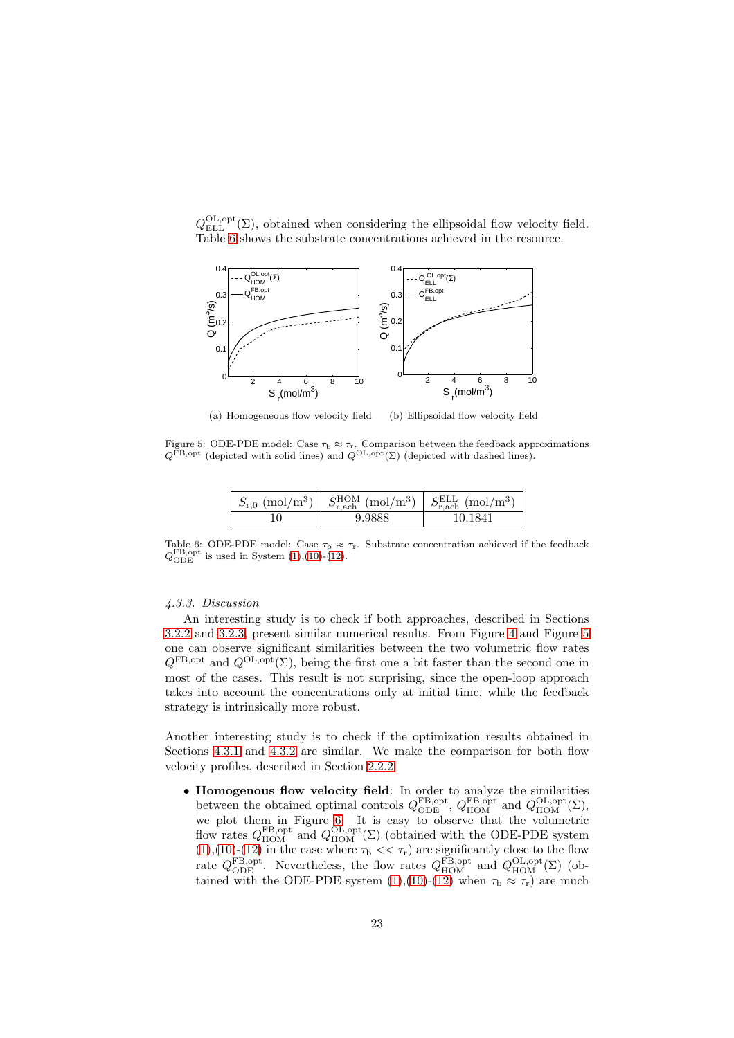$Q_{\text{ELL}}^{\text{OL}, \text{opt}}(\Sigma)$ , obtained when considering the ellipsoidal flow velocity field. Table [6](#page-22-2) shows the substrate concentrations achieved in the resource.



<span id="page-22-1"></span>(a) Homogeneous flow velocity field (b) Ellipsoidal flow velocity field

Figure 5: ODE-PDE model: Case  $\tau_{\rm b} \approx \tau_{\rm r}$ . Comparison between the feedback approximations  $Q^{\text{FB},\text{opt}}$  (depicted with solid lines) and  $Q^{\text{OL},\text{opt}}(\Sigma)$  (depicted with dashed lines).

| $S_{r,0}$ (mol/m <sup>3</sup> ) | $S_{\text{r,ach}}^{\text{HOM}}$ (mol/m <sup>3</sup> ) | $\chi$ ELL<br>(mol/m <sup>3</sup> ) |
|---------------------------------|-------------------------------------------------------|-------------------------------------|
|                                 |                                                       | 10 1941                             |

<span id="page-22-2"></span>Table 6: ODE-PDE model: Case  $\tau_b \approx \tau_r$ . Substrate concentration achieved if the feedback  $Q_{\text{ODE}}^{\text{FB,opt}}$  is used in System [\(1\)](#page-3-3),[\(10\)](#page-6-1)-[\(12\)](#page-7-1).

## <span id="page-22-0"></span>4.3.3. Discussion

An interesting study is to check if both approaches, described in Sections [3.2.2](#page-12-4) and [3.2.3,](#page-13-2) present similar numerical results. From Figure [4](#page-21-0) and Figure [5](#page-22-1) one can observe significant similarities between the two volumetric flow rates  $Q^{\text{FB},\text{opt}}$  and  $Q^{\text{OL},\text{opt}}(\Sigma)$ , being the first one a bit faster than the second one in most of the cases. This result is not surprising, since the open-loop approach takes into account the concentrations only at initial time, while the feedback strategy is intrinsically more robust.

Another interesting study is to check if the optimization results obtained in Sections [4.3.1](#page-20-1) and [4.3.2](#page-20-2) are similar. We make the comparison for both flow velocity profiles, described in Section [2.2.2.](#page-5-0)

• Homogenous flow velocity field: In order to analyze the similarities between the obtained optimal controls  $Q_{\text{ODE}}^{\text{FB, opt}}$ ,  $Q_{\text{HOM}}^{\text{FB, opt}}$  and  $Q_{\text{HOM}}^{\text{OL, opt}}(\Sigma)$ , we plot them in Figure [6.](#page-23-1) It is easy to observe that the volumetric flow rates  $Q_{\text{HOM}}^{\text{FB,opt}}$  and  $Q_{\text{HOM}}^{\text{OL,opt}}(\Sigma)$  (obtained with the ODE-PDE system  $(1),(10)-(12)$  $(1),(10)-(12)$  $(1),(10)-(12)$  $(1),(10)-(12)$  $(1),(10)-(12)$  in the case where  $\tau_{\rm b} << \tau_{\rm r}$  are significantly close to the flow rate  $Q_{\text{ODE}}^{\text{FB, opt}}$ . Nevertheless, the flow rates  $Q_{\text{HOM}}^{\text{FB, opt}}$  and  $Q_{\text{HOM}}^{\text{OL, opt}}(\Sigma)$  (obtained with the ODE-PDE system  $(1),(10)-(12)$  $(1),(10)-(12)$  $(1),(10)-(12)$  $(1),(10)-(12)$  when  $\tau_b \approx \tau_r$ ) are much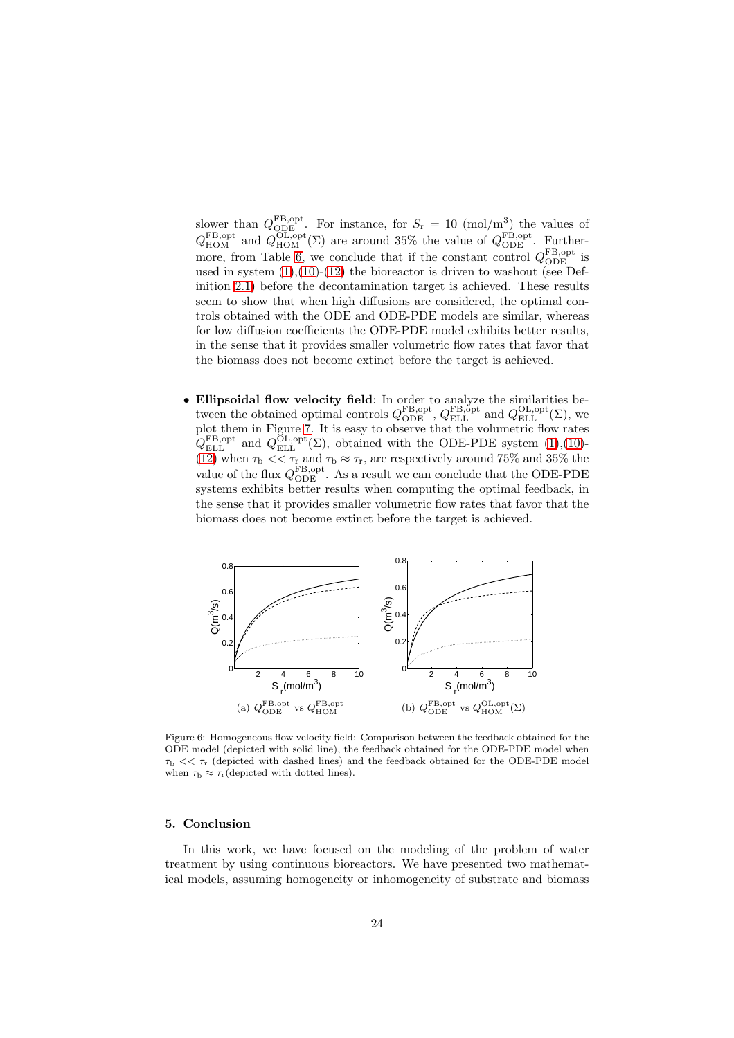slower than  $Q_{\text{ODE}}^{\text{FB, opt}}$ . For instance, for  $S_r = 10 \text{ (mol/m}^3)$  the values of  $Q_{\rm HOM}^{\rm FB, opt}$  and  $Q_{\rm HOM}^{\rm OL, opt}(\Sigma)$  are around 35% the value of  $Q_{\rm ODE}^{\rm FB, opt}$ . Further-more, from Table [6,](#page-22-2) we conclude that if the constant control  $Q_{\rm ODE}^{\rm FB,opt}$  is used in system  $(1)$ , $(10)$ - $(12)$  the bioreactor is driven to washout (see Definition [2.1\)](#page-4-3) before the decontamination target is achieved. These results seem to show that when high diffusions are considered, the optimal controls obtained with the ODE and ODE-PDE models are similar, whereas for low diffusion coefficients the ODE-PDE model exhibits better results, in the sense that it provides smaller volumetric flow rates that favor that the biomass does not become extinct before the target is achieved.

• Ellipsoidal flow velocity field: In order to analyze the similarities between the obtained optimal controls  $Q_{\text{ODE}}^{\text{FB, opt}}, Q_{\text{ELL}}^{\text{FB, opt}}$  and  $Q_{\text{ELL}}^{\text{OL, opt}}(\Sigma)$ , we plot them in Figure [7.](#page-24-0) It is easy to observe that the volumetric flow rates  $Q_{\text{ELL}}^{\text{FB, opt}}$  and  $Q_{\text{ELL}}^{\text{OL, opt}}(\Sigma)$ , obtained with the ODE-PDE system [\(1\)](#page-3-3),[\(10\)](#page-6-1)-[\(12\)](#page-7-1) when  $\tau_{\rm b} \ll \tau_{\rm r}$  and  $\tau_{\rm b} \approx \tau_{\rm r}$ , are respectively around 75% and 35% the value of the flux  $Q_{\rm ODE}^{\rm FB, opt}$ . As a result we can conclude that the ODE-PDE systems exhibits better results when computing the optimal feedback, in the sense that it provides smaller volumetric flow rates that favor that the biomass does not become extinct before the target is achieved.



<span id="page-23-1"></span>Figure 6: Homogeneous flow velocity field: Comparison between the feedback obtained for the ODE model (depicted with solid line), the feedback obtained for the ODE-PDE model when  $\tau_{\rm b}$  <<  $\tau_{\rm r}$  (depicted with dashed lines) and the feedback obtained for the ODE-PDE model when  $\tau_{\rm b} \approx \tau_{\rm r}$  (depicted with dotted lines).

## <span id="page-23-0"></span>5. Conclusion

In this work, we have focused on the modeling of the problem of water treatment by using continuous bioreactors. We have presented two mathematical models, assuming homogeneity or inhomogeneity of substrate and biomass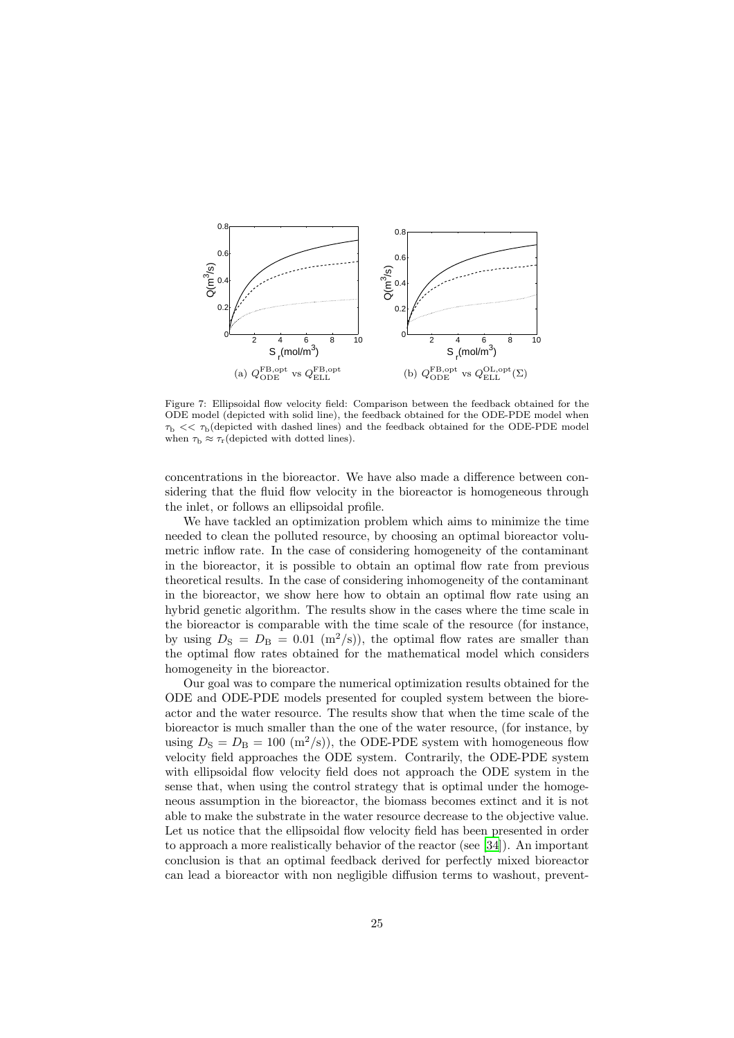

<span id="page-24-0"></span>Figure 7: Ellipsoidal flow velocity field: Comparison between the feedback obtained for the ODE model (depicted with solid line), the feedback obtained for the ODE-PDE model when  $\tau_{\rm b}$  <<  $\tau_{\rm b}$ (depicted with dashed lines) and the feedback obtained for the ODE-PDE model when  $\tau_{\rm b} \approx \tau_{\rm r}$  (depicted with dotted lines).

concentrations in the bioreactor. We have also made a difference between considering that the fluid flow velocity in the bioreactor is homogeneous through the inlet, or follows an ellipsoidal profile.

We have tackled an optimization problem which aims to minimize the time needed to clean the polluted resource, by choosing an optimal bioreactor volumetric inflow rate. In the case of considering homogeneity of the contaminant in the bioreactor, it is possible to obtain an optimal flow rate from previous theoretical results. In the case of considering inhomogeneity of the contaminant in the bioreactor, we show here how to obtain an optimal flow rate using an hybrid genetic algorithm. The results show in the cases where the time scale in the bioreactor is comparable with the time scale of the resource (for instance, by using  $D_{\rm S} = D_{\rm B} = 0.01$  (m<sup>2</sup>/s)), the optimal flow rates are smaller than the optimal flow rates obtained for the mathematical model which considers homogeneity in the bioreactor.

Our goal was to compare the numerical optimization results obtained for the ODE and ODE-PDE models presented for coupled system between the bioreactor and the water resource. The results show that when the time scale of the bioreactor is much smaller than the one of the water resource, (for instance, by using  $D<sub>S</sub> = D<sub>B</sub> = 100 (m<sup>2</sup>/s)$ , the ODE-PDE system with homogeneous flow velocity field approaches the ODE system. Contrarily, the ODE-PDE system with ellipsoidal flow velocity field does not approach the ODE system in the sense that, when using the control strategy that is optimal under the homogeneous assumption in the bioreactor, the biomass becomes extinct and it is not able to make the substrate in the water resource decrease to the objective value. Let us notice that the ellipsoidal flow velocity field has been presented in order to approach a more realistically behavior of the reactor (see [\[34](#page-27-9)]). An important conclusion is that an optimal feedback derived for perfectly mixed bioreactor can lead a bioreactor with non negligible diffusion terms to washout, prevent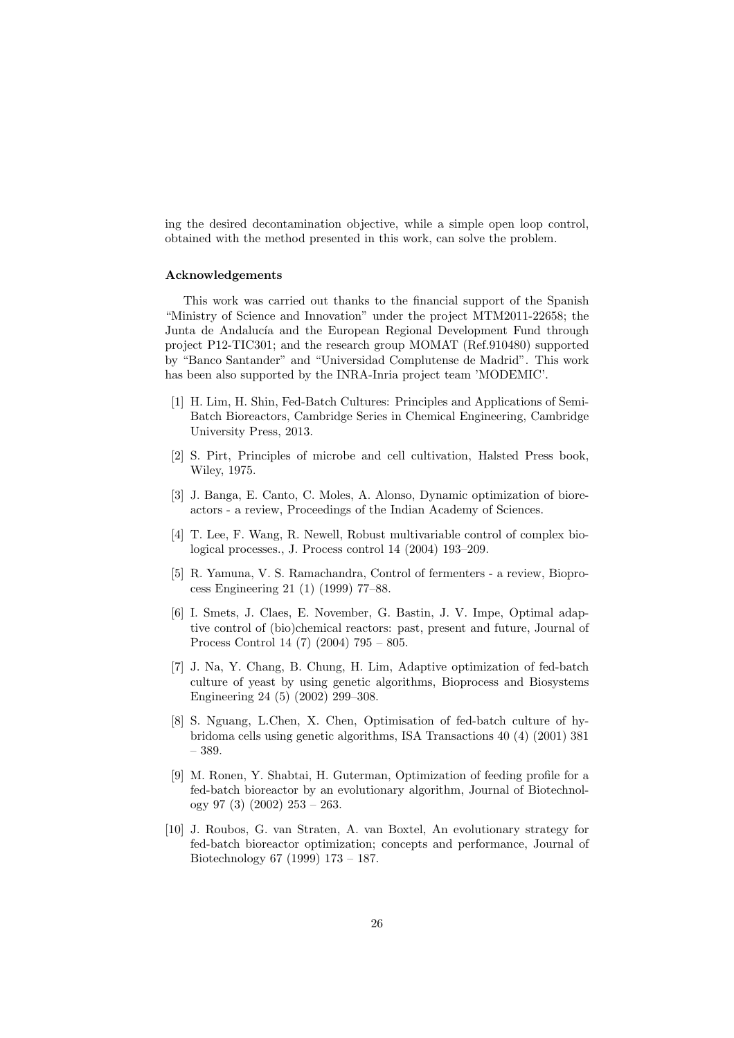ing the desired decontamination objective, while a simple open loop control, obtained with the method presented in this work, can solve the problem.

## Acknowledgements

This work was carried out thanks to the financial support of the Spanish "Ministry of Science and Innovation" under the project MTM2011-22658; the Junta de Andalucía and the European Regional Development Fund through project P12-TIC301; and the research group MOMAT (Ref.910480) supported by "Banco Santander" and "Universidad Complutense de Madrid". This work has been also supported by the INRA-Inria project team 'MODEMIC'.

- <span id="page-25-0"></span>[1] H. Lim, H. Shin, Fed-Batch Cultures: Principles and Applications of Semi-Batch Bioreactors, Cambridge Series in Chemical Engineering, Cambridge University Press, 2013.
- <span id="page-25-1"></span>[2] S. Pirt, Principles of microbe and cell cultivation, Halsted Press book, Wiley, 1975.
- <span id="page-25-2"></span>[3] J. Banga, E. Canto, C. Moles, A. Alonso, Dynamic optimization of bioreactors - a review, Proceedings of the Indian Academy of Sciences.
- <span id="page-25-3"></span>[4] T. Lee, F. Wang, R. Newell, Robust multivariable control of complex biological processes., J. Process control 14 (2004) 193–209.
- <span id="page-25-4"></span>[5] R. Yamuna, V. S. Ramachandra, Control of fermenters - a review, Bioprocess Engineering 21 (1) (1999) 77–88.
- <span id="page-25-5"></span>[6] I. Smets, J. Claes, E. November, G. Bastin, J. V. Impe, Optimal adaptive control of (bio)chemical reactors: past, present and future, Journal of Process Control 14 (7) (2004) 795 – 805.
- <span id="page-25-6"></span>[7] J. Na, Y. Chang, B. Chung, H. Lim, Adaptive optimization of fed-batch culture of yeast by using genetic algorithms, Bioprocess and Biosystems Engineering 24 (5) (2002) 299–308.
- <span id="page-25-7"></span>[8] S. Nguang, L.Chen, X. Chen, Optimisation of fed-batch culture of hybridoma cells using genetic algorithms, ISA Transactions 40 (4) (2001) 381 – 389.
- <span id="page-25-8"></span>[9] M. Ronen, Y. Shabtai, H. Guterman, Optimization of feeding profile for a fed-batch bioreactor by an evolutionary algorithm, Journal of Biotechnology 97 (3) (2002) 253 – 263.
- <span id="page-25-9"></span>[10] J. Roubos, G. van Straten, A. van Boxtel, An evolutionary strategy for fed-batch bioreactor optimization; concepts and performance, Journal of Biotechnology 67 (1999) 173 – 187.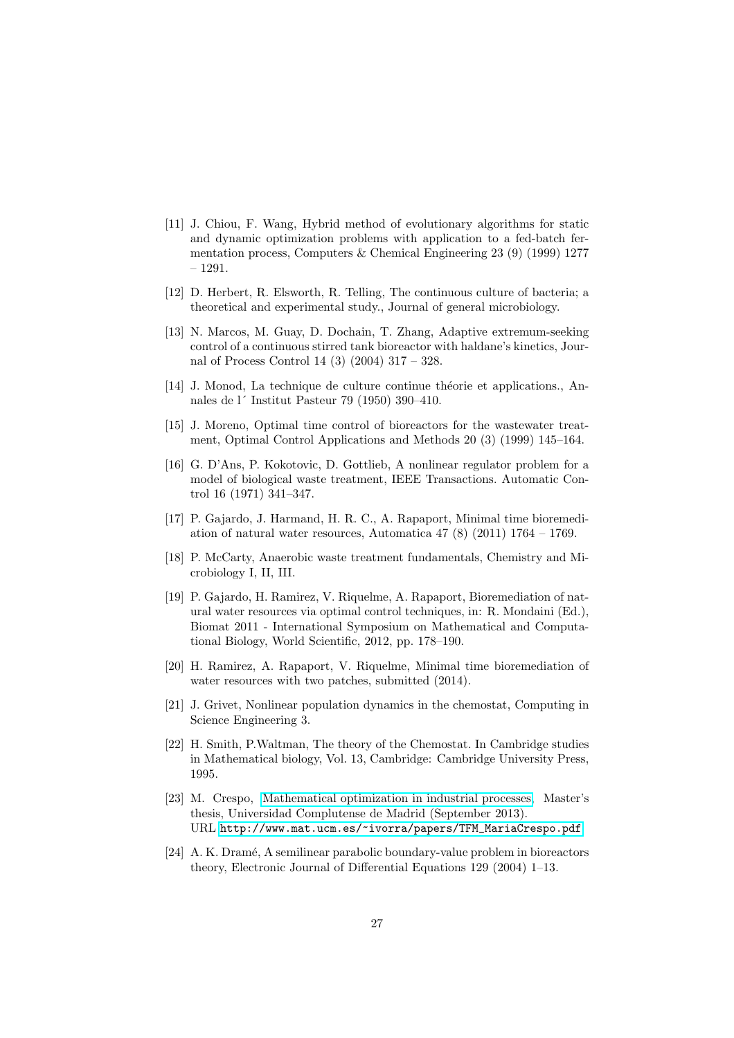- <span id="page-26-0"></span>[11] J. Chiou, F. Wang, Hybrid method of evolutionary algorithms for static and dynamic optimization problems with application to a fed-batch fermentation process, Computers & Chemical Engineering 23 (9) (1999) 1277 – 1291.
- <span id="page-26-1"></span>[12] D. Herbert, R. Elsworth, R. Telling, The continuous culture of bacteria; a theoretical and experimental study., Journal of general microbiology.
- <span id="page-26-2"></span>[13] N. Marcos, M. Guay, D. Dochain, T. Zhang, Adaptive extremum-seeking control of a continuous stirred tank bioreactor with haldane's kinetics, Journal of Process Control 14 (3) (2004) 317 – 328.
- <span id="page-26-3"></span> $[14]$  J. Monod, La technique de culture continue théorie et applications., Annales de l´ Institut Pasteur 79 (1950) 390–410.
- <span id="page-26-4"></span>[15] J. Moreno, Optimal time control of bioreactors for the wastewater treatment, Optimal Control Applications and Methods 20 (3) (1999) 145–164.
- <span id="page-26-5"></span>[16] G. D'Ans, P. Kokotovic, D. Gottlieb, A nonlinear regulator problem for a model of biological waste treatment, IEEE Transactions. Automatic Control 16 (1971) 341–347.
- <span id="page-26-6"></span>[17] P. Gajardo, J. Harmand, H. R. C., A. Rapaport, Minimal time bioremediation of natural water resources, Automatica  $47$  (8) (2011)  $1764 - 1769$ .
- <span id="page-26-7"></span>[18] P. McCarty, Anaerobic waste treatment fundamentals, Chemistry and Microbiology I, II, III.
- <span id="page-26-8"></span>[19] P. Gajardo, H. Ramirez, V. Riquelme, A. Rapaport, Bioremediation of natural water resources via optimal control techniques, in: R. Mondaini (Ed.), Biomat 2011 - International Symposium on Mathematical and Computational Biology, World Scientific, 2012, pp. 178–190.
- <span id="page-26-9"></span>[20] H. Ramirez, A. Rapaport, V. Riquelme, Minimal time bioremediation of water resources with two patches, submitted (2014).
- <span id="page-26-10"></span>[21] J. Grivet, Nonlinear population dynamics in the chemostat, Computing in Science Engineering 3.
- <span id="page-26-11"></span>[22] H. Smith, P.Waltman, The theory of the Chemostat. In Cambridge studies in Mathematical biology, Vol. 13, Cambridge: Cambridge University Press, 1995.
- <span id="page-26-12"></span>[23] M. Crespo, [Mathematical optimization in industrial processes,](http://www.mat.ucm.es/~ivorra/papers/TFM_MariaCrespo.pdf) Master's thesis, Universidad Complutense de Madrid (September 2013). URL [http://www.mat.ucm.es/~ivorra/papers/TFM\\_MariaCrespo.pdf](http://www.mat.ucm.es/~ivorra/papers/TFM_MariaCrespo.pdf)
- <span id="page-26-13"></span>[24] A. K. Dram´e, A semilinear parabolic boundary-value problem in bioreactors theory, Electronic Journal of Differential Equations 129 (2004) 1–13.